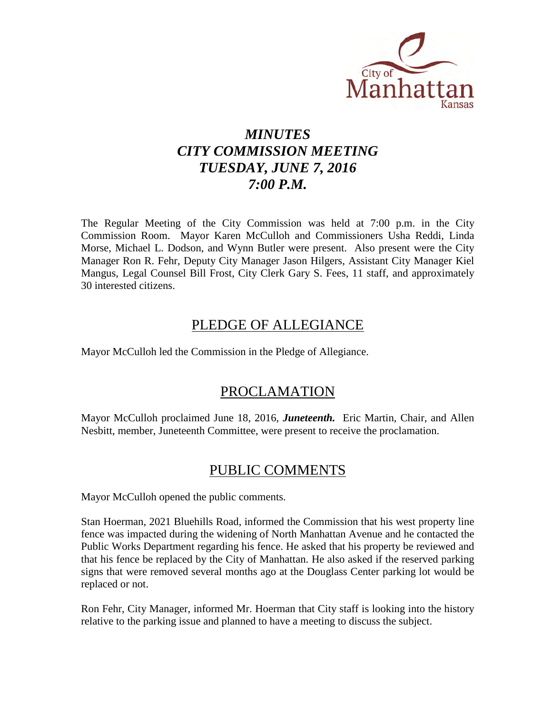

# *MINUTES CITY COMMISSION MEETING TUESDAY, JUNE 7, 2016 7:00 P.M.*

The Regular Meeting of the City Commission was held at 7:00 p.m. in the City Commission Room. Mayor Karen McCulloh and Commissioners Usha Reddi, Linda Morse, Michael L. Dodson, and Wynn Butler were present. Also present were the City Manager Ron R. Fehr, Deputy City Manager Jason Hilgers, Assistant City Manager Kiel Mangus, Legal Counsel Bill Frost, City Clerk Gary S. Fees, 11 staff, and approximately 30 interested citizens.

# PLEDGE OF ALLEGIANCE

Mayor McCulloh led the Commission in the Pledge of Allegiance.

# PROCLAMATION

Mayor McCulloh proclaimed June 18, 2016, *Juneteenth.* Eric Martin, Chair, and Allen Nesbitt, member, Juneteenth Committee, were present to receive the proclamation.

# PUBLIC COMMENTS

Mayor McCulloh opened the public comments.

Stan Hoerman, 2021 Bluehills Road, informed the Commission that his west property line fence was impacted during the widening of North Manhattan Avenue and he contacted the Public Works Department regarding his fence. He asked that his property be reviewed and that his fence be replaced by the City of Manhattan. He also asked if the reserved parking signs that were removed several months ago at the Douglass Center parking lot would be replaced or not.

Ron Fehr, City Manager, informed Mr. Hoerman that City staff is looking into the history relative to the parking issue and planned to have a meeting to discuss the subject.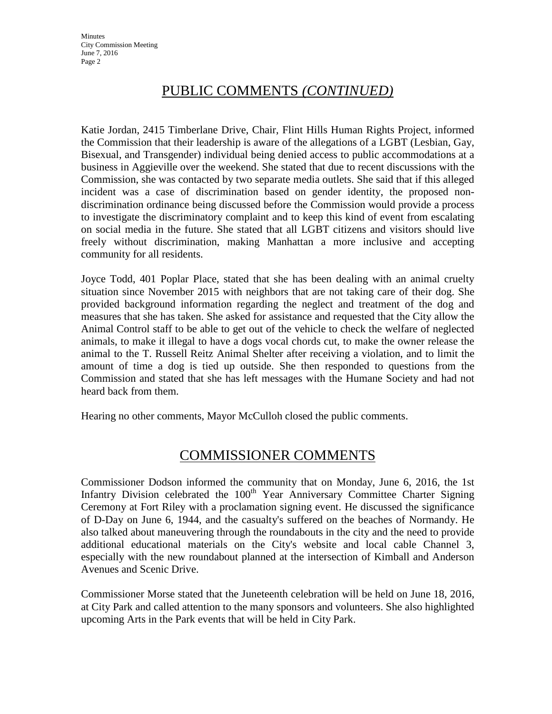# PUBLIC COMMENTS *(CONTINUED)*

Katie Jordan, 2415 Timberlane Drive, Chair, Flint Hills Human Rights Project, informed the Commission that their leadership is aware of the allegations of a LGBT (Lesbian, Gay, Bisexual, and Transgender) individual being denied access to public accommodations at a business in Aggieville over the weekend. She stated that due to recent discussions with the Commission, she was contacted by two separate media outlets. She said that if this alleged incident was a case of discrimination based on gender identity, the proposed nondiscrimination ordinance being discussed before the Commission would provide a process to investigate the discriminatory complaint and to keep this kind of event from escalating on social media in the future. She stated that all LGBT citizens and visitors should live freely without discrimination, making Manhattan a more inclusive and accepting community for all residents.

Joyce Todd, 401 Poplar Place, stated that she has been dealing with an animal cruelty situation since November 2015 with neighbors that are not taking care of their dog. She provided background information regarding the neglect and treatment of the dog and measures that she has taken. She asked for assistance and requested that the City allow the Animal Control staff to be able to get out of the vehicle to check the welfare of neglected animals, to make it illegal to have a dogs vocal chords cut, to make the owner release the animal to the T. Russell Reitz Animal Shelter after receiving a violation, and to limit the amount of time a dog is tied up outside. She then responded to questions from the Commission and stated that she has left messages with the Humane Society and had not heard back from them.

Hearing no other comments, Mayor McCulloh closed the public comments.

# COMMISSIONER COMMENTS

Commissioner Dodson informed the community that on Monday, June 6, 2016, the 1st Infantry Division celebrated the  $100<sup>th</sup>$  Year Anniversary Committee Charter Signing Ceremony at Fort Riley with a proclamation signing event. He discussed the significance of D-Day on June 6, 1944, and the casualty's suffered on the beaches of Normandy. He also talked about maneuvering through the roundabouts in the city and the need to provide additional educational materials on the City's website and local cable Channel 3, especially with the new roundabout planned at the intersection of Kimball and Anderson Avenues and Scenic Drive.

Commissioner Morse stated that the Juneteenth celebration will be held on June 18, 2016, at City Park and called attention to the many sponsors and volunteers. She also highlighted upcoming Arts in the Park events that will be held in City Park.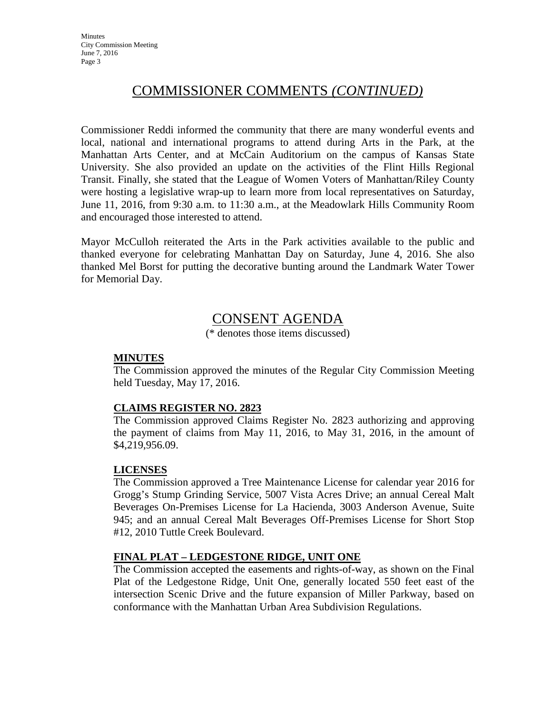# COMMISSIONER COMMENTS *(CONTINUED)*

Commissioner Reddi informed the community that there are many wonderful events and local, national and international programs to attend during Arts in the Park, at the Manhattan Arts Center, and at McCain Auditorium on the campus of Kansas State University. She also provided an update on the activities of the Flint Hills Regional Transit. Finally, she stated that the League of Women Voters of Manhattan/Riley County were hosting a legislative wrap-up to learn more from local representatives on Saturday, June 11, 2016, from 9:30 a.m. to 11:30 a.m., at the Meadowlark Hills Community Room and encouraged those interested to attend.

Mayor McCulloh reiterated the Arts in the Park activities available to the public and thanked everyone for celebrating Manhattan Day on Saturday, June 4, 2016. She also thanked Mel Borst for putting the decorative bunting around the Landmark Water Tower for Memorial Day.

# CONSENT AGENDA

(\* denotes those items discussed)

## **MINUTES**

The Commission approved the minutes of the Regular City Commission Meeting held Tuesday, May 17, 2016.

# **CLAIMS REGISTER NO. 2823**

The Commission approved Claims Register No. 2823 authorizing and approving the payment of claims from May 11, 2016, to May 31, 2016, in the amount of \$4,219,956.09.

# **LICENSES**

The Commission approved a Tree Maintenance License for calendar year 2016 for Grogg's Stump Grinding Service, 5007 Vista Acres Drive; an annual Cereal Malt Beverages On-Premises License for La Hacienda, 3003 Anderson Avenue, Suite 945; and an annual Cereal Malt Beverages Off-Premises License for Short Stop #12, 2010 Tuttle Creek Boulevard.

# **FINAL PLAT – LEDGESTONE RIDGE, UNIT ONE**

The Commission accepted the easements and rights-of-way, as shown on the Final Plat of the Ledgestone Ridge, Unit One, generally located 550 feet east of the intersection Scenic Drive and the future expansion of Miller Parkway, based on conformance with the Manhattan Urban Area Subdivision Regulations.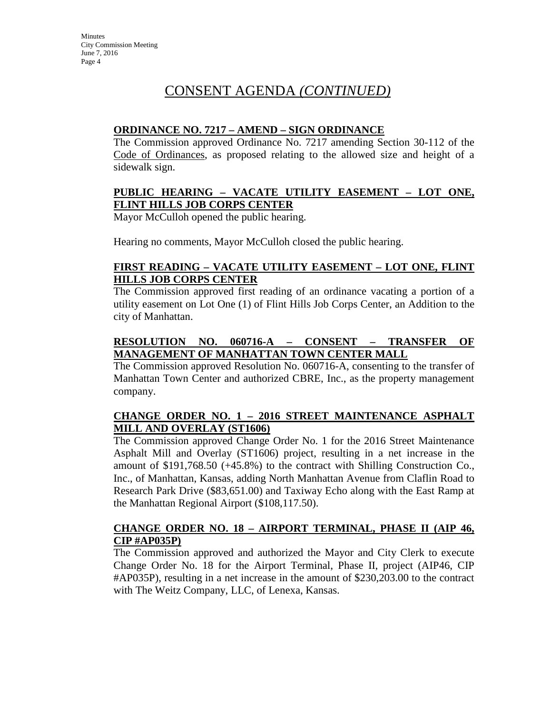# CONSENT AGENDA *(CONTINUED)*

### **ORDINANCE NO. 7217 – AMEND – SIGN ORDINANCE**

The Commission approved Ordinance No. 7217 amending Section 30-112 of the Code of Ordinances, as proposed relating to the allowed size and height of a sidewalk sign.

# **PUBLIC HEARING – VACATE UTILITY EASEMENT – LOT ONE, FLINT HILLS JOB CORPS CENTER**

Mayor McCulloh opened the public hearing.

Hearing no comments, Mayor McCulloh closed the public hearing.

# **FIRST READING – VACATE UTILITY EASEMENT – LOT ONE, FLINT HILLS JOB CORPS CENTER**

The Commission approved first reading of an ordinance vacating a portion of a utility easement on Lot One (1) of Flint Hills Job Corps Center, an Addition to the city of Manhattan.

# **RESOLUTION NO. 060716-A – CONSENT – TRANSFER OF MANAGEMENT OF MANHATTAN TOWN CENTER MALL**

The Commission approved Resolution No. 060716-A, consenting to the transfer of Manhattan Town Center and authorized CBRE, Inc., as the property management company.

# **CHANGE ORDER NO. 1 – 2016 STREET MAINTENANCE ASPHALT MILL AND OVERLAY (ST1606)**

The Commission approved Change Order No. 1 for the 2016 Street Maintenance Asphalt Mill and Overlay (ST1606) project, resulting in a net increase in the amount of \$191,768.50 (+45.8%) to the contract with Shilling Construction Co., Inc., of Manhattan, Kansas, adding North Manhattan Avenue from Claflin Road to Research Park Drive (\$83,651.00) and Taxiway Echo along with the East Ramp at the Manhattan Regional Airport (\$108,117.50).

# **CHANGE ORDER NO. 18 – AIRPORT TERMINAL, PHASE II (AIP 46, CIP #AP035P)**

The Commission approved and authorized the Mayor and City Clerk to execute Change Order No. 18 for the Airport Terminal, Phase II, project (AIP46, CIP #AP035P), resulting in a net increase in the amount of \$230,203.00 to the contract with The Weitz Company, LLC, of Lenexa, Kansas.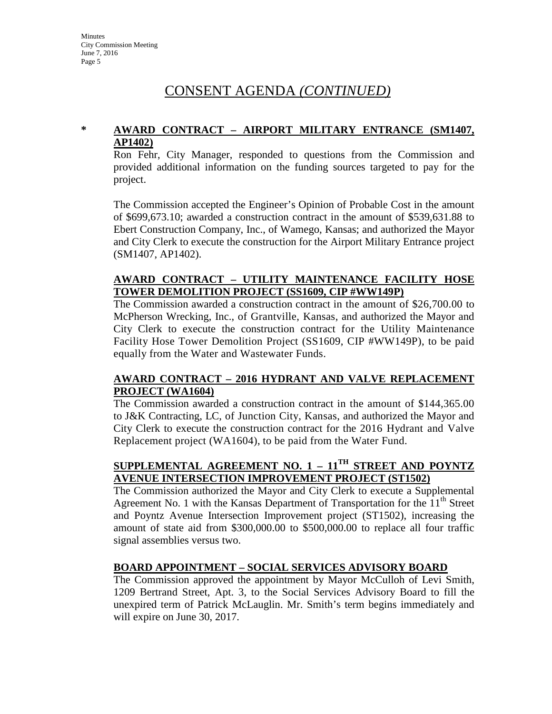# CONSENT AGENDA *(CONTINUED)*

## **\* AWARD CONTRACT – AIRPORT MILITARY ENTRANCE (SM1407, AP1402)**

Ron Fehr, City Manager, responded to questions from the Commission and provided additional information on the funding sources targeted to pay for the project.

The Commission accepted the Engineer's Opinion of Probable Cost in the amount of \$699,673.10; awarded a construction contract in the amount of \$539,631.88 to Ebert Construction Company, Inc., of Wamego, Kansas; and authorized the Mayor and City Clerk to execute the construction for the Airport Military Entrance project (SM1407, AP1402).

## **AWARD CONTRACT – UTILITY MAINTENANCE FACILITY HOSE TOWER DEMOLITION PROJECT (SS1609, CIP #WW149P)**

The Commission awarded a construction contract in the amount of \$26,700.00 to McPherson Wrecking, Inc., of Grantville, Kansas, and authorized the Mayor and City Clerk to execute the construction contract for the Utility Maintenance Facility Hose Tower Demolition Project (SS1609, CIP #WW149P), to be paid equally from the Water and Wastewater Funds.

# **AWARD CONTRACT – 2016 HYDRANT AND VALVE REPLACEMENT PROJECT (WA1604)**

The Commission awarded a construction contract in the amount of \$144,365.00 to J&K Contracting, LC, of Junction City, Kansas, and authorized the Mayor and City Clerk to execute the construction contract for the 2016 Hydrant and Valve Replacement project (WA1604), to be paid from the Water Fund.

# **SUPPLEMENTAL AGREEMENT NO. 1 – 11TH STREET AND POYNTZ AVENUE INTERSECTION IMPROVEMENT PROJECT (ST1502)**

The Commission authorized the Mayor and City Clerk to execute a Supplemental Agreement No. 1 with the Kansas Department of Transportation for the  $11<sup>th</sup>$  Street and Poyntz Avenue Intersection Improvement project (ST1502), increasing the amount of state aid from \$300,000.00 to \$500,000.00 to replace all four traffic signal assemblies versus two.

# **BOARD APPOINTMENT – SOCIAL SERVICES ADVISORY BOARD**

The Commission approved the appointment by Mayor McCulloh of Levi Smith, 1209 Bertrand Street, Apt. 3, to the Social Services Advisory Board to fill the unexpired term of Patrick McLauglin. Mr. Smith's term begins immediately and will expire on June 30, 2017.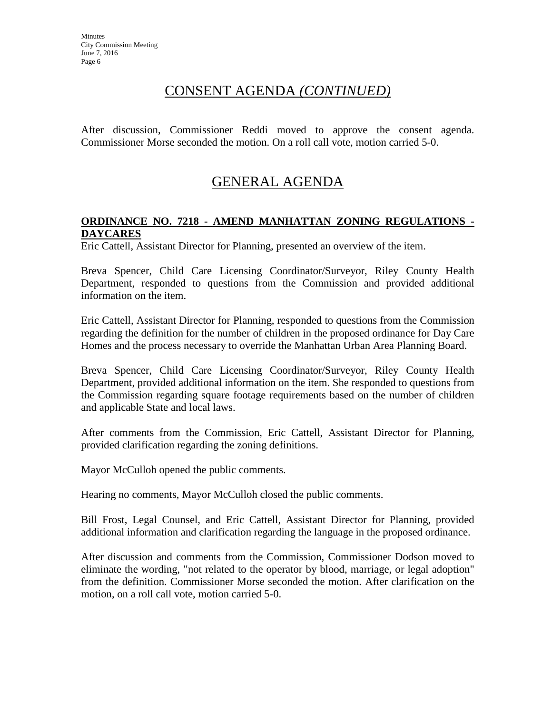# CONSENT AGENDA *(CONTINUED)*

After discussion, Commissioner Reddi moved to approve the consent agenda. Commissioner Morse seconded the motion. On a roll call vote, motion carried 5-0.

# GENERAL AGENDA

## **ORDINANCE NO. 7218 - AMEND MANHATTAN ZONING REGULATIONS - DAYCARES**

Eric Cattell, Assistant Director for Planning, presented an overview of the item.

Breva Spencer, Child Care Licensing Coordinator/Surveyor, Riley County Health Department, responded to questions from the Commission and provided additional information on the item.

Eric Cattell, Assistant Director for Planning, responded to questions from the Commission regarding the definition for the number of children in the proposed ordinance for Day Care Homes and the process necessary to override the Manhattan Urban Area Planning Board.

Breva Spencer, Child Care Licensing Coordinator/Surveyor, Riley County Health Department, provided additional information on the item. She responded to questions from the Commission regarding square footage requirements based on the number of children and applicable State and local laws.

After comments from the Commission, Eric Cattell, Assistant Director for Planning, provided clarification regarding the zoning definitions.

Mayor McCulloh opened the public comments.

Hearing no comments, Mayor McCulloh closed the public comments.

Bill Frost, Legal Counsel, and Eric Cattell, Assistant Director for Planning, provided additional information and clarification regarding the language in the proposed ordinance.

After discussion and comments from the Commission, Commissioner Dodson moved to eliminate the wording, "not related to the operator by blood, marriage, or legal adoption" from the definition. Commissioner Morse seconded the motion. After clarification on the motion, on a roll call vote, motion carried 5-0.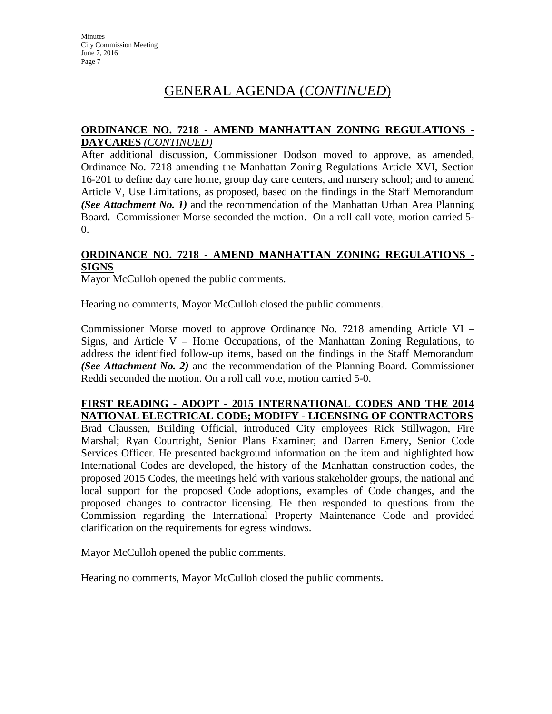### **ORDINANCE NO. 7218 - AMEND MANHATTAN ZONING REGULATIONS - DAYCARES** *(CONTINUED)*

After additional discussion, Commissioner Dodson moved to approve, as amended, Ordinance No. 7218 amending the Manhattan Zoning Regulations Article XVI, Section 16-201 to define day care home, group day care centers, and nursery school; and to amend Article V, Use Limitations, as proposed, based on the findings in the Staff Memorandum *(See Attachment No. 1)* and the recommendation of the Manhattan Urban Area Planning Board**.** Commissioner Morse seconded the motion. On a roll call vote, motion carried 5- 0.

## **ORDINANCE NO. 7218 - AMEND MANHATTAN ZONING REGULATIONS - SIGNS**

Mayor McCulloh opened the public comments.

Hearing no comments, Mayor McCulloh closed the public comments.

Commissioner Morse moved to approve Ordinance No. 7218 amending Article VI – Signs, and Article V – Home Occupations, of the Manhattan Zoning Regulations, to address the identified follow-up items, based on the findings in the Staff Memorandum *(See Attachment No. 2)* and the recommendation of the Planning Board. Commissioner Reddi seconded the motion. On a roll call vote, motion carried 5-0.

#### **FIRST READING - ADOPT - 2015 INTERNATIONAL CODES AND THE 2014 NATIONAL ELECTRICAL CODE; MODIFY - LICENSING OF CONTRACTORS**

Brad Claussen, Building Official, introduced City employees Rick Stillwagon, Fire Marshal; Ryan Courtright, Senior Plans Examiner; and Darren Emery, Senior Code Services Officer. He presented background information on the item and highlighted how International Codes are developed, the history of the Manhattan construction codes, the proposed 2015 Codes, the meetings held with various stakeholder groups, the national and local support for the proposed Code adoptions, examples of Code changes, and the proposed changes to contractor licensing. He then responded to questions from the Commission regarding the International Property Maintenance Code and provided clarification on the requirements for egress windows.

Mayor McCulloh opened the public comments.

Hearing no comments, Mayor McCulloh closed the public comments.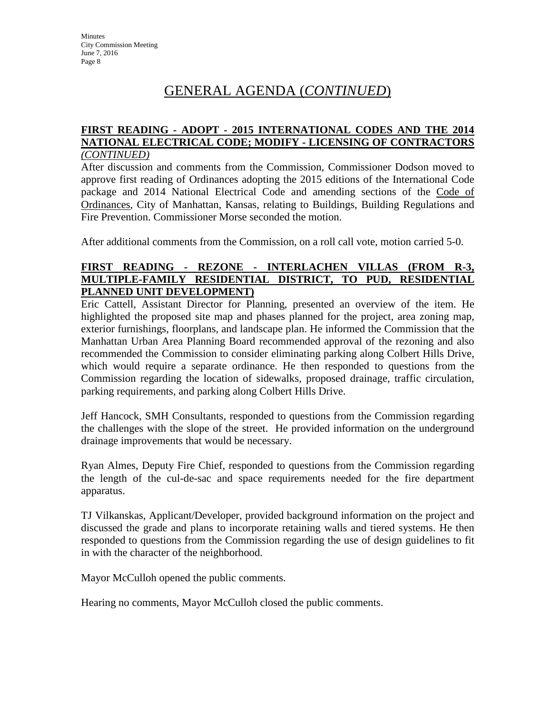#### **FIRST READING - ADOPT - 2015 INTERNATIONAL CODES AND THE 2014 NATIONAL ELECTRICAL CODE; MODIFY - LICENSING OF CONTRACTORS** *(CONTINUED)*

After discussion and comments from the Commission, Commissioner Dodson moved to approve first reading of Ordinances adopting the 2015 editions of the International Code package and 2014 National Electrical Code and amending sections of the Code of Ordinances, City of Manhattan, Kansas, relating to Buildings, Building Regulations and Fire Prevention. Commissioner Morse seconded the motion.

After additional comments from the Commission, on a roll call vote, motion carried 5-0.

# **FIRST READING - REZONE - INTERLACHEN VILLAS (FROM R-3, MULTIPLE-FAMILY RESIDENTIAL DISTRICT, TO PUD, RESIDENTIAL PLANNED UNIT DEVELOPMENT)**

Eric Cattell, Assistant Director for Planning, presented an overview of the item. He highlighted the proposed site map and phases planned for the project, area zoning map, exterior furnishings, floorplans, and landscape plan. He informed the Commission that the Manhattan Urban Area Planning Board recommended approval of the rezoning and also recommended the Commission to consider eliminating parking along Colbert Hills Drive, which would require a separate ordinance. He then responded to questions from the Commission regarding the location of sidewalks, proposed drainage, traffic circulation, parking requirements, and parking along Colbert Hills Drive.

Jeff Hancock, SMH Consultants, responded to questions from the Commission regarding the challenges with the slope of the street. He provided information on the underground drainage improvements that would be necessary.

Ryan Almes, Deputy Fire Chief, responded to questions from the Commission regarding the length of the cul-de-sac and space requirements needed for the fire department apparatus.

TJ Vilkanskas, Applicant/Developer, provided background information on the project and discussed the grade and plans to incorporate retaining walls and tiered systems. He then responded to questions from the Commission regarding the use of design guidelines to fit in with the character of the neighborhood.

Mayor McCulloh opened the public comments.

Hearing no comments, Mayor McCulloh closed the public comments.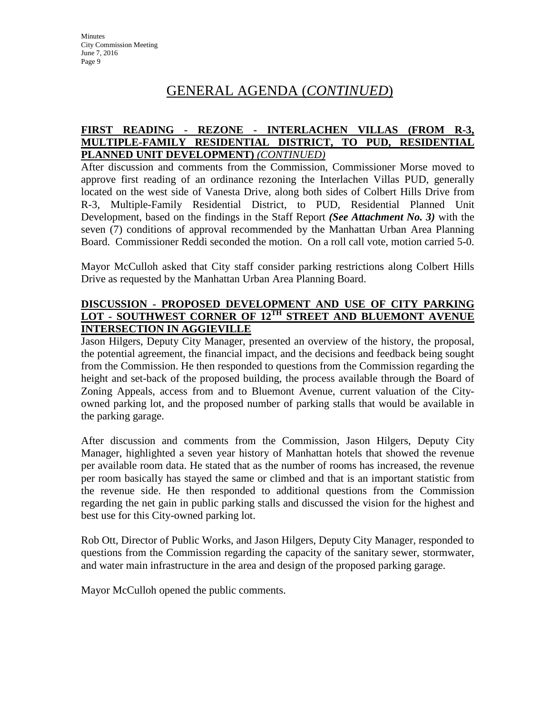# **FIRST READING - REZONE - INTERLACHEN VILLAS (FROM R-3, MULTIPLE-FAMILY RESIDENTIAL DISTRICT, TO PUD, RESIDENTIAL PLANNED UNIT DEVELOPMENT)** *(CONTINUED)*

After discussion and comments from the Commission, Commissioner Morse moved to approve first reading of an ordinance rezoning the Interlachen Villas PUD, generally located on the west side of Vanesta Drive, along both sides of Colbert Hills Drive from R-3, Multiple-Family Residential District, to PUD, Residential Planned Unit Development, based on the findings in the Staff Report *(See Attachment No. 3)* with the seven (7) conditions of approval recommended by the Manhattan Urban Area Planning Board. Commissioner Reddi seconded the motion. On a roll call vote, motion carried 5-0.

Mayor McCulloh asked that City staff consider parking restrictions along Colbert Hills Drive as requested by the Manhattan Urban Area Planning Board.

# **DISCUSSION - PROPOSED DEVELOPMENT AND USE OF CITY PARKING LOT - SOUTHWEST CORNER OF 12TH STREET AND BLUEMONT AVENUE INTERSECTION IN AGGIEVILLE**

Jason Hilgers, Deputy City Manager, presented an overview of the history, the proposal, the potential agreement, the financial impact, and the decisions and feedback being sought from the Commission. He then responded to questions from the Commission regarding the height and set-back of the proposed building, the process available through the Board of Zoning Appeals, access from and to Bluemont Avenue, current valuation of the Cityowned parking lot, and the proposed number of parking stalls that would be available in the parking garage.

After discussion and comments from the Commission, Jason Hilgers, Deputy City Manager, highlighted a seven year history of Manhattan hotels that showed the revenue per available room data. He stated that as the number of rooms has increased, the revenue per room basically has stayed the same or climbed and that is an important statistic from the revenue side. He then responded to additional questions from the Commission regarding the net gain in public parking stalls and discussed the vision for the highest and best use for this City-owned parking lot.

Rob Ott, Director of Public Works, and Jason Hilgers, Deputy City Manager, responded to questions from the Commission regarding the capacity of the sanitary sewer, stormwater, and water main infrastructure in the area and design of the proposed parking garage.

Mayor McCulloh opened the public comments.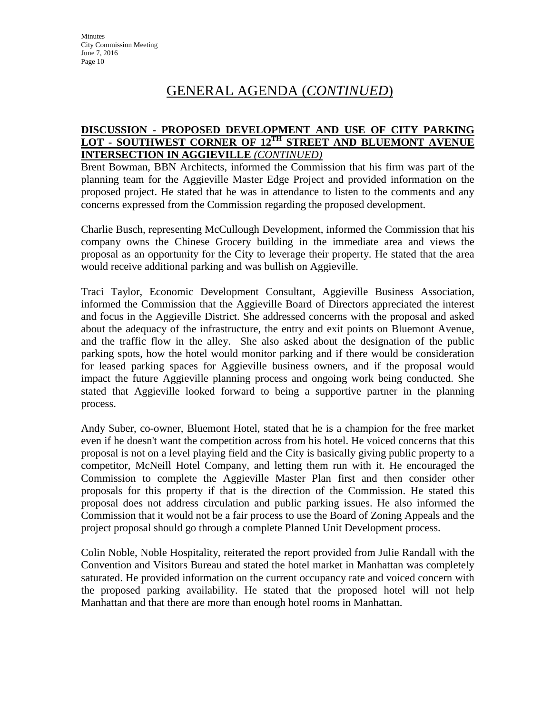# **DISCUSSION - PROPOSED DEVELOPMENT AND USE OF CITY PARKING LOT - SOUTHWEST CORNER OF 12TH STREET AND BLUEMONT AVENUE INTERSECTION IN AGGIEVILLE** *(CONTINUED)*

Brent Bowman, BBN Architects, informed the Commission that his firm was part of the planning team for the Aggieville Master Edge Project and provided information on the proposed project. He stated that he was in attendance to listen to the comments and any concerns expressed from the Commission regarding the proposed development.

Charlie Busch, representing McCullough Development, informed the Commission that his company owns the Chinese Grocery building in the immediate area and views the proposal as an opportunity for the City to leverage their property. He stated that the area would receive additional parking and was bullish on Aggieville.

Traci Taylor, Economic Development Consultant, Aggieville Business Association, informed the Commission that the Aggieville Board of Directors appreciated the interest and focus in the Aggieville District. She addressed concerns with the proposal and asked about the adequacy of the infrastructure, the entry and exit points on Bluemont Avenue, and the traffic flow in the alley. She also asked about the designation of the public parking spots, how the hotel would monitor parking and if there would be consideration for leased parking spaces for Aggieville business owners, and if the proposal would impact the future Aggieville planning process and ongoing work being conducted. She stated that Aggieville looked forward to being a supportive partner in the planning process.

Andy Suber, co-owner, Bluemont Hotel, stated that he is a champion for the free market even if he doesn't want the competition across from his hotel. He voiced concerns that this proposal is not on a level playing field and the City is basically giving public property to a competitor, McNeill Hotel Company, and letting them run with it. He encouraged the Commission to complete the Aggieville Master Plan first and then consider other proposals for this property if that is the direction of the Commission. He stated this proposal does not address circulation and public parking issues. He also informed the Commission that it would not be a fair process to use the Board of Zoning Appeals and the project proposal should go through a complete Planned Unit Development process.

Colin Noble, Noble Hospitality, reiterated the report provided from Julie Randall with the Convention and Visitors Bureau and stated the hotel market in Manhattan was completely saturated. He provided information on the current occupancy rate and voiced concern with the proposed parking availability. He stated that the proposed hotel will not help Manhattan and that there are more than enough hotel rooms in Manhattan.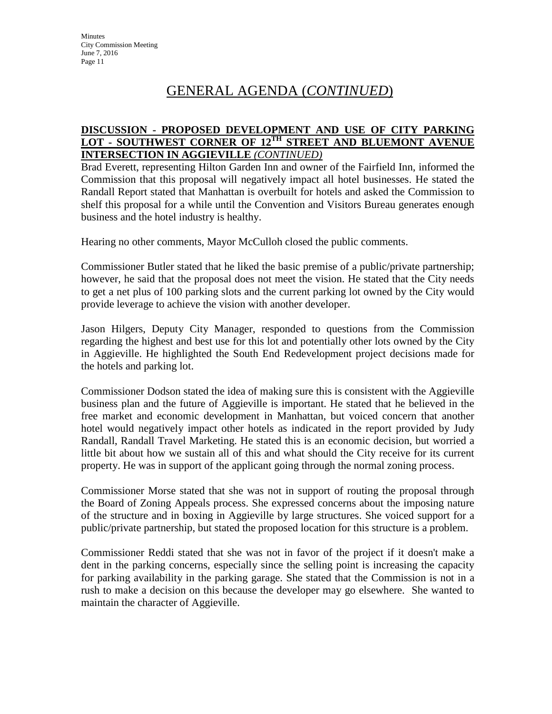# **DISCUSSION - PROPOSED DEVELOPMENT AND USE OF CITY PARKING LOT - SOUTHWEST CORNER OF 12TH STREET AND BLUEMONT AVENUE INTERSECTION IN AGGIEVILLE** *(CONTINUED)*

Brad Everett, representing Hilton Garden Inn and owner of the Fairfield Inn, informed the Commission that this proposal will negatively impact all hotel businesses. He stated the Randall Report stated that Manhattan is overbuilt for hotels and asked the Commission to shelf this proposal for a while until the Convention and Visitors Bureau generates enough business and the hotel industry is healthy.

Hearing no other comments, Mayor McCulloh closed the public comments.

Commissioner Butler stated that he liked the basic premise of a public/private partnership; however, he said that the proposal does not meet the vision. He stated that the City needs to get a net plus of 100 parking slots and the current parking lot owned by the City would provide leverage to achieve the vision with another developer.

Jason Hilgers, Deputy City Manager, responded to questions from the Commission regarding the highest and best use for this lot and potentially other lots owned by the City in Aggieville. He highlighted the South End Redevelopment project decisions made for the hotels and parking lot.

Commissioner Dodson stated the idea of making sure this is consistent with the Aggieville business plan and the future of Aggieville is important. He stated that he believed in the free market and economic development in Manhattan, but voiced concern that another hotel would negatively impact other hotels as indicated in the report provided by Judy Randall, Randall Travel Marketing. He stated this is an economic decision, but worried a little bit about how we sustain all of this and what should the City receive for its current property. He was in support of the applicant going through the normal zoning process.

Commissioner Morse stated that she was not in support of routing the proposal through the Board of Zoning Appeals process. She expressed concerns about the imposing nature of the structure and in boxing in Aggieville by large structures. She voiced support for a public/private partnership, but stated the proposed location for this structure is a problem.

Commissioner Reddi stated that she was not in favor of the project if it doesn't make a dent in the parking concerns, especially since the selling point is increasing the capacity for parking availability in the parking garage. She stated that the Commission is not in a rush to make a decision on this because the developer may go elsewhere. She wanted to maintain the character of Aggieville.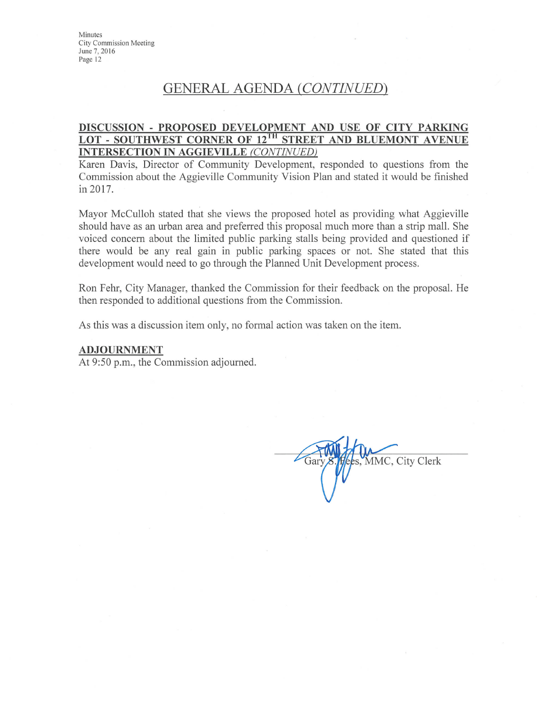Minutes **City Commission Meeting** June 7, 2016 Page 12

# **GENERAL AGENDA (CONTINUED)**

### DISCUSSION - PROPOSED DEVELOPMENT AND USE OF CITY PARKING LOT - SOUTHWEST CORNER OF 12TH STREET AND BLUEMONT AVENUE **INTERSECTION IN AGGIEVILLE (CONTINUED)**

Karen Davis, Director of Community Development, responded to questions from the Commission about the Aggieville Community Vision Plan and stated it would be finished in 2017.

Mayor McCulloh stated that she views the proposed hotel as providing what Aggieville should have as an urban area and preferred this proposal much more than a strip mall. She voiced concern about the limited public parking stalls being provided and questioned if there would be any real gain in public parking spaces or not. She stated that this development would need to go through the Planned Unit Development process.

Ron Fehr, City Manager, thanked the Commission for their feedback on the proposal. He then responded to additional questions from the Commission.

As this was a discussion item only, no formal action was taken on the item.

#### **ADJOURNMENT**

At 9:50 p.m., the Commission adjourned.

MMC, City Clerk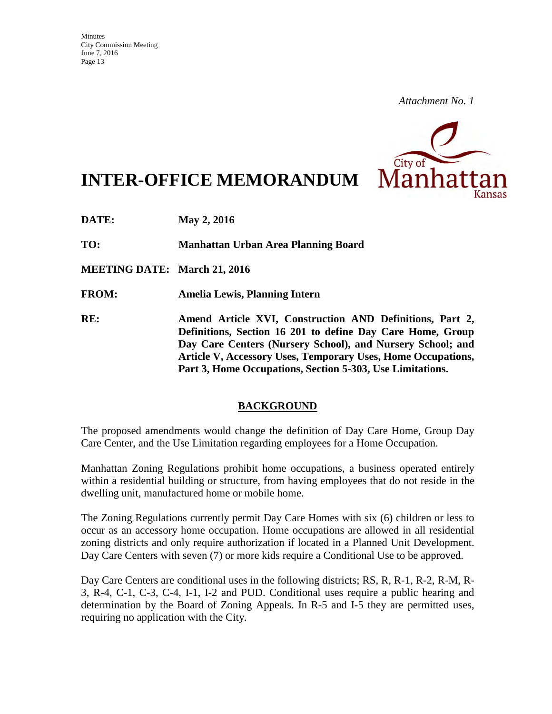

# **INTER-OFFICE MEMORANDUM**

**DATE: May 2, 2016** 

**TO: Manhattan Urban Area Planning Board** 

**MEETING DATE: March 21, 2016** 

**FROM: Amelia Lewis, Planning Intern** 

**RE: Amend Article XVI, Construction AND Definitions, Part 2, Definitions, Section 16 201 to define Day Care Home, Group Day Care Centers (Nursery School), and Nursery School; and Article V, Accessory Uses, Temporary Uses, Home Occupations, Part 3, Home Occupations, Section 5-303, Use Limitations.**

# **BACKGROUND**

The proposed amendments would change the definition of Day Care Home, Group Day Care Center, and the Use Limitation regarding employees for a Home Occupation.

Manhattan Zoning Regulations prohibit home occupations, a business operated entirely within a residential building or structure, from having employees that do not reside in the dwelling unit, manufactured home or mobile home.

The Zoning Regulations currently permit Day Care Homes with six (6) children or less to occur as an accessory home occupation. Home occupations are allowed in all residential zoning districts and only require authorization if located in a Planned Unit Development. Day Care Centers with seven (7) or more kids require a Conditional Use to be approved.

Day Care Centers are conditional uses in the following districts; RS, R, R-1, R-2, R-M, R-3, R-4, C-1, C-3, C-4, I-1, I-2 and PUD. Conditional uses require a public hearing and determination by the Board of Zoning Appeals. In R-5 and I-5 they are permitted uses, requiring no application with the City.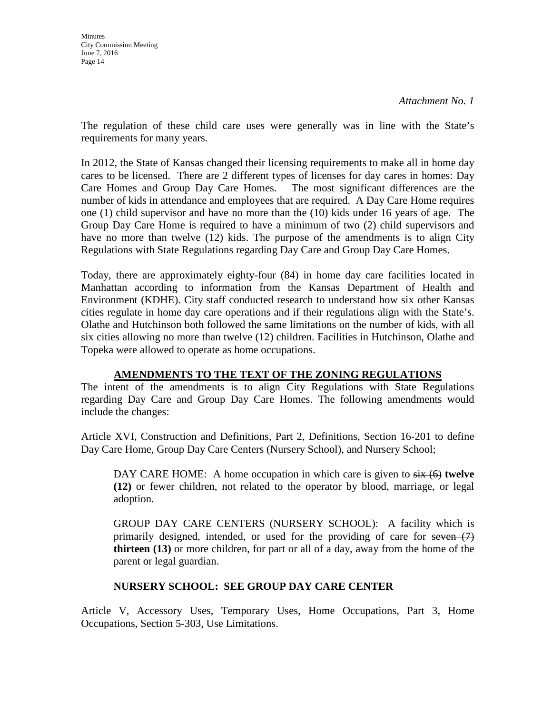The regulation of these child care uses were generally was in line with the State's requirements for many years.

In 2012, the State of Kansas changed their licensing requirements to make all in home day cares to be licensed. There are 2 different types of licenses for day cares in homes: Day Care Homes and Group Day Care Homes. The most significant differences are the number of kids in attendance and employees that are required. A Day Care Home requires one (1) child supervisor and have no more than the (10) kids under 16 years of age. The Group Day Care Home is required to have a minimum of two (2) child supervisors and have no more than twelve (12) kids. The purpose of the amendments is to align City Regulations with State Regulations regarding Day Care and Group Day Care Homes.

Today, there are approximately eighty-four (84) in home day care facilities located in Manhattan according to information from the Kansas Department of Health and Environment (KDHE). City staff conducted research to understand how six other Kansas cities regulate in home day care operations and if their regulations align with the State's. Olathe and Hutchinson both followed the same limitations on the number of kids, with all six cities allowing no more than twelve (12) children. Facilities in Hutchinson, Olathe and Topeka were allowed to operate as home occupations.

# **AMENDMENTS TO THE TEXT OF THE ZONING REGULATIONS**

The intent of the amendments is to align City Regulations with State Regulations regarding Day Care and Group Day Care Homes. The following amendments would include the changes:

Article XVI, Construction and Definitions, Part 2, Definitions, Section 16-201 to define Day Care Home, Group Day Care Centers (Nursery School), and Nursery School;

DAY CARE HOME: A home occupation in which care is given to  $s$ ix (6) **twelve (12)** or fewer children, not related to the operator by blood, marriage, or legal adoption.

GROUP DAY CARE CENTERS (NURSERY SCHOOL): A facility which is primarily designed, intended, or used for the providing of care for seven  $(7)$ **thirteen (13)** or more children, for part or all of a day, away from the home of the parent or legal guardian.

# **NURSERY SCHOOL: SEE GROUP DAY CARE CENTER**

Article V, Accessory Uses, Temporary Uses, Home Occupations, Part 3, Home Occupations, Section 5-303, Use Limitations.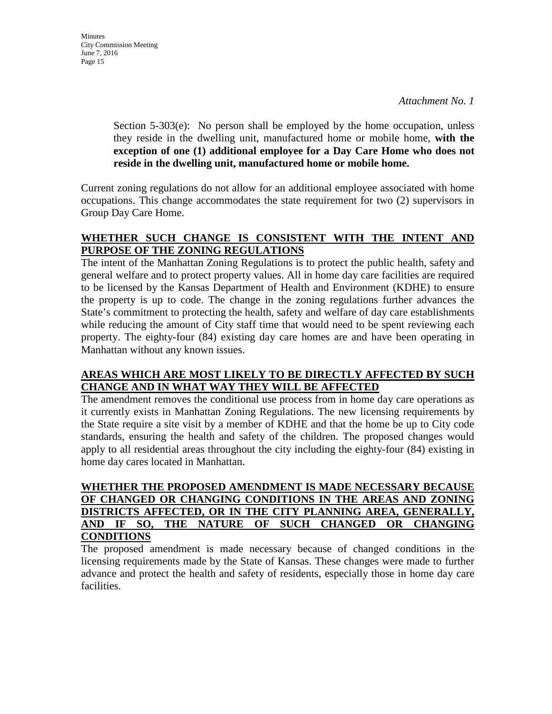Section 5-303(e): No person shall be employed by the home occupation, unless they reside in the dwelling unit, manufactured home or mobile home, **with the exception of one (1) additional employee for a Day Care Home who does not reside in the dwelling unit, manufactured home or mobile home.** 

Current zoning regulations do not allow for an additional employee associated with home occupations. This change accommodates the state requirement for two (2) supervisors in Group Day Care Home.

# **WHETHER SUCH CHANGE IS CONSISTENT WITH THE INTENT AND PURPOSE OF THE ZONING REGULATIONS**

The intent of the Manhattan Zoning Regulations is to protect the public health, safety and general welfare and to protect property values. All in home day care facilities are required to be licensed by the Kansas Department of Health and Environment (KDHE) to ensure the property is up to code. The change in the zoning regulations further advances the State's commitment to protecting the health, safety and welfare of day care establishments while reducing the amount of City staff time that would need to be spent reviewing each property. The eighty-four (84) existing day care homes are and have been operating in Manhattan without any known issues.

# **AREAS WHICH ARE MOST LIKELY TO BE DIRECTLY AFFECTED BY SUCH CHANGE AND IN WHAT WAY THEY WILL BE AFFECTED**

The amendment removes the conditional use process from in home day care operations as it currently exists in Manhattan Zoning Regulations. The new licensing requirements by the State require a site visit by a member of KDHE and that the home be up to City code standards, ensuring the health and safety of the children. The proposed changes would apply to all residential areas throughout the city including the eighty-four (84) existing in home day cares located in Manhattan.

# **WHETHER THE PROPOSED AMENDMENT IS MADE NECESSARY BECAUSE OF CHANGED OR CHANGING CONDITIONS IN THE AREAS AND ZONING DISTRICTS AFFECTED, OR IN THE CITY PLANNING AREA, GENERALLY, AND IF SO, THE NATURE OF SUCH CHANGED OR CHANGING** THE NATURE OF SUCH CHANGED OR CHANGING **CONDITIONS**

The proposed amendment is made necessary because of changed conditions in the licensing requirements made by the State of Kansas. These changes were made to further advance and protect the health and safety of residents, especially those in home day care facilities.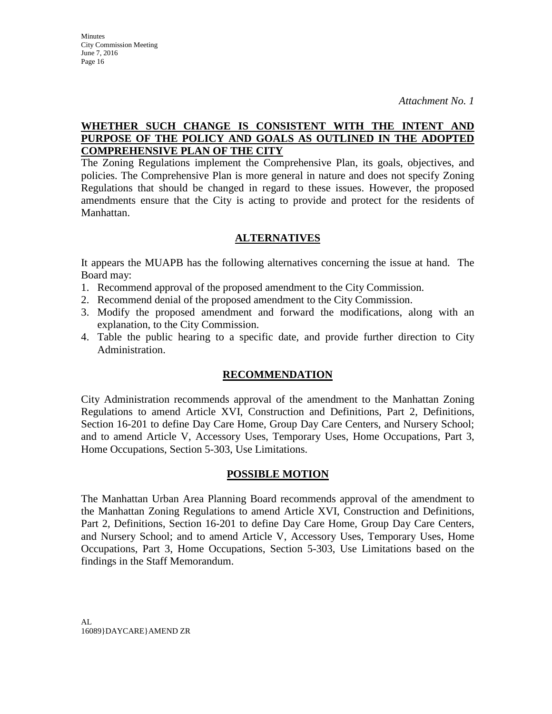# **WHETHER SUCH CHANGE IS CONSISTENT WITH THE INTENT AND PURPOSE OF THE POLICY AND GOALS AS OUTLINED IN THE ADOPTED COMPREHENSIVE PLAN OF THE CITY**

The Zoning Regulations implement the Comprehensive Plan, its goals, objectives, and policies. The Comprehensive Plan is more general in nature and does not specify Zoning Regulations that should be changed in regard to these issues. However, the proposed amendments ensure that the City is acting to provide and protect for the residents of Manhattan.

# **ALTERNATIVES**

It appears the MUAPB has the following alternatives concerning the issue at hand. The Board may:

- 1. Recommend approval of the proposed amendment to the City Commission.
- 2. Recommend denial of the proposed amendment to the City Commission.
- 3. Modify the proposed amendment and forward the modifications, along with an explanation, to the City Commission.
- 4. Table the public hearing to a specific date, and provide further direction to City Administration.

# **RECOMMENDATION**

City Administration recommends approval of the amendment to the Manhattan Zoning Regulations to amend Article XVI, Construction and Definitions, Part 2, Definitions, Section 16-201 to define Day Care Home, Group Day Care Centers, and Nursery School; and to amend Article V, Accessory Uses, Temporary Uses, Home Occupations, Part 3, Home Occupations, Section 5-303, Use Limitations.

# **POSSIBLE MOTION**

The Manhattan Urban Area Planning Board recommends approval of the amendment to the Manhattan Zoning Regulations to amend Article XVI, Construction and Definitions, Part 2, Definitions, Section 16-201 to define Day Care Home, Group Day Care Centers, and Nursery School; and to amend Article V, Accessory Uses, Temporary Uses, Home Occupations, Part 3, Home Occupations, Section 5-303, Use Limitations based on the findings in the Staff Memorandum.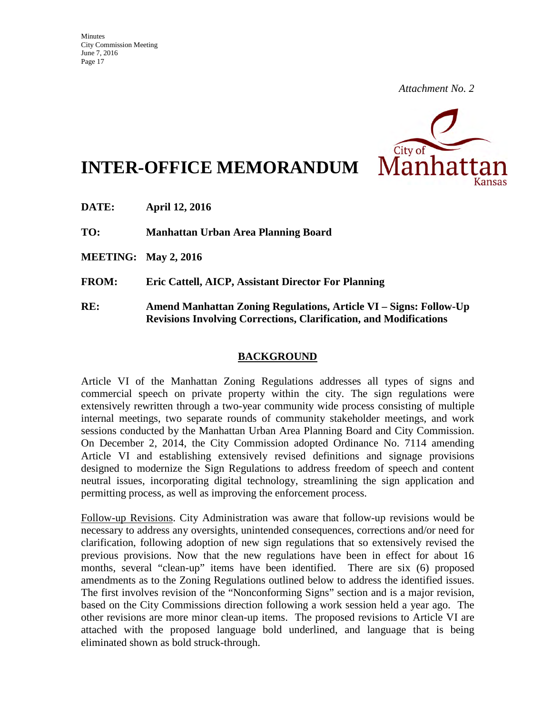

# **INTER-OFFICE MEMORANDUM**

**DATE: April 12, 2016** 

**TO: Manhattan Urban Area Planning Board** 

**MEETING: May 2, 2016** 

**FROM: Eric Cattell, AICP, Assistant Director For Planning** 

**RE: Amend Manhattan Zoning Regulations, Article VI – Signs: Follow-Up Revisions Involving Corrections, Clarification, and Modifications** 

## **BACKGROUND**

Article VI of the Manhattan Zoning Regulations addresses all types of signs and commercial speech on private property within the city. The sign regulations were extensively rewritten through a two-year community wide process consisting of multiple internal meetings, two separate rounds of community stakeholder meetings, and work sessions conducted by the Manhattan Urban Area Planning Board and City Commission. On December 2, 2014, the City Commission adopted Ordinance No. 7114 amending Article VI and establishing extensively revised definitions and signage provisions designed to modernize the Sign Regulations to address freedom of speech and content neutral issues, incorporating digital technology, streamlining the sign application and permitting process, as well as improving the enforcement process.

Follow-up Revisions. City Administration was aware that follow-up revisions would be necessary to address any oversights, unintended consequences, corrections and/or need for clarification, following adoption of new sign regulations that so extensively revised the previous provisions. Now that the new regulations have been in effect for about 16 months, several "clean-up" items have been identified. There are six (6) proposed amendments as to the Zoning Regulations outlined below to address the identified issues. The first involves revision of the "Nonconforming Signs" section and is a major revision, based on the City Commissions direction following a work session held a year ago. The other revisions are more minor clean-up items. The proposed revisions to Article VI are attached with the proposed language bold underlined, and language that is being eliminated shown as bold struck-through.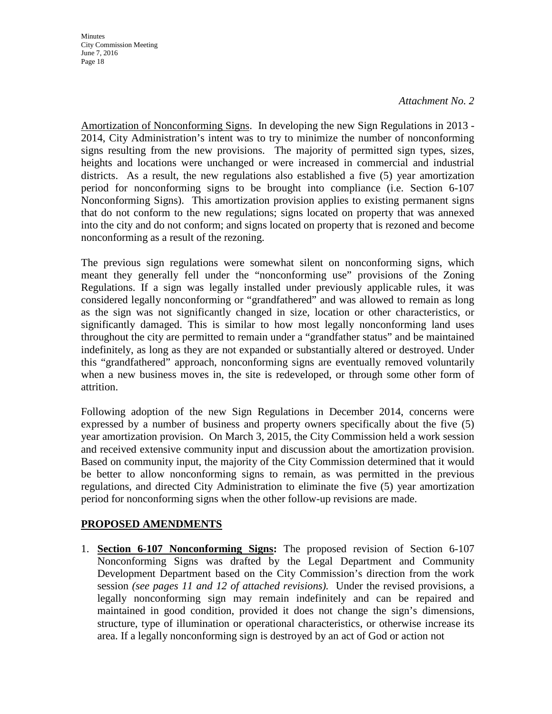Amortization of Nonconforming Signs. In developing the new Sign Regulations in 2013 - 2014, City Administration's intent was to try to minimize the number of nonconforming signs resulting from the new provisions. The majority of permitted sign types, sizes, heights and locations were unchanged or were increased in commercial and industrial districts. As a result, the new regulations also established a five (5) year amortization period for nonconforming signs to be brought into compliance (i.e. Section 6-107 Nonconforming Signs). This amortization provision applies to existing permanent signs that do not conform to the new regulations; signs located on property that was annexed into the city and do not conform; and signs located on property that is rezoned and become nonconforming as a result of the rezoning.

The previous sign regulations were somewhat silent on nonconforming signs, which meant they generally fell under the "nonconforming use" provisions of the Zoning Regulations. If a sign was legally installed under previously applicable rules, it was considered legally nonconforming or "grandfathered" and was allowed to remain as long as the sign was not significantly changed in size, location or other characteristics, or significantly damaged. This is similar to how most legally nonconforming land uses throughout the city are permitted to remain under a "grandfather status" and be maintained indefinitely, as long as they are not expanded or substantially altered or destroyed. Under this "grandfathered" approach, nonconforming signs are eventually removed voluntarily when a new business moves in, the site is redeveloped, or through some other form of attrition.

Following adoption of the new Sign Regulations in December 2014, concerns were expressed by a number of business and property owners specifically about the five (5) year amortization provision. On March 3, 2015, the City Commission held a work session and received extensive community input and discussion about the amortization provision. Based on community input, the majority of the City Commission determined that it would be better to allow nonconforming signs to remain, as was permitted in the previous regulations, and directed City Administration to eliminate the five (5) year amortization period for nonconforming signs when the other follow-up revisions are made.

# **PROPOSED AMENDMENTS**

1. **Section 6-107 Nonconforming Signs:** The proposed revision of Section 6-107 Nonconforming Signs was drafted by the Legal Department and Community Development Department based on the City Commission's direction from the work session *(see pages 11 and 12 of attached revisions).* Under the revised provisions, a legally nonconforming sign may remain indefinitely and can be repaired and maintained in good condition, provided it does not change the sign's dimensions, structure, type of illumination or operational characteristics, or otherwise increase its area. If a legally nonconforming sign is destroyed by an act of God or action not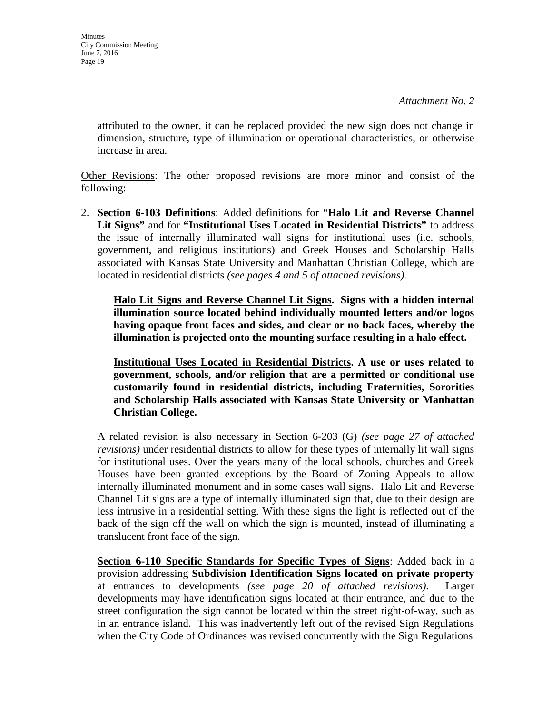attributed to the owner, it can be replaced provided the new sign does not change in dimension, structure, type of illumination or operational characteristics, or otherwise increase in area.

Other Revisions: The other proposed revisions are more minor and consist of the following:

2. **Section 6-103 Definitions**: Added definitions for "**Halo Lit and Reverse Channel Lit Signs"** and for **"Institutional Uses Located in Residential Districts"** to address the issue of internally illuminated wall signs for institutional uses (i.e. schools, government, and religious institutions) and Greek Houses and Scholarship Halls associated with Kansas State University and Manhattan Christian College, which are located in residential districts *(see pages 4 and 5 of attached revisions)*.

**Halo Lit Signs and Reverse Channel Lit Signs. Signs with a hidden internal illumination source located behind individually mounted letters and/or logos having opaque front faces and sides, and clear or no back faces, whereby the illumination is projected onto the mounting surface resulting in a halo effect.**

**Institutional Uses Located in Residential Districts. A use or uses related to government, schools, and/or religion that are a permitted or conditional use customarily found in residential districts, including Fraternities, Sororities and Scholarship Halls associated with Kansas State University or Manhattan Christian College.** 

A related revision is also necessary in Section 6-203 (G) *(see page 27 of attached revisions)* under residential districts to allow for these types of internally lit wall signs for institutional uses. Over the years many of the local schools, churches and Greek Houses have been granted exceptions by the Board of Zoning Appeals to allow internally illuminated monument and in some cases wall signs. Halo Lit and Reverse Channel Lit signs are a type of internally illuminated sign that, due to their design are less intrusive in a residential setting. With these signs the light is reflected out of the back of the sign off the wall on which the sign is mounted, instead of illuminating a translucent front face of the sign.

**Section 6-110 Specific Standards for Specific Types of Signs**: Added back in a provision addressing **Subdivision Identification Signs located on private property** at entrances to developments *(see page 20 of attached revisions)*. Larger developments may have identification signs located at their entrance, and due to the street configuration the sign cannot be located within the street right-of-way, such as in an entrance island. This was inadvertently left out of the revised Sign Regulations when the City Code of Ordinances was revised concurrently with the Sign Regulations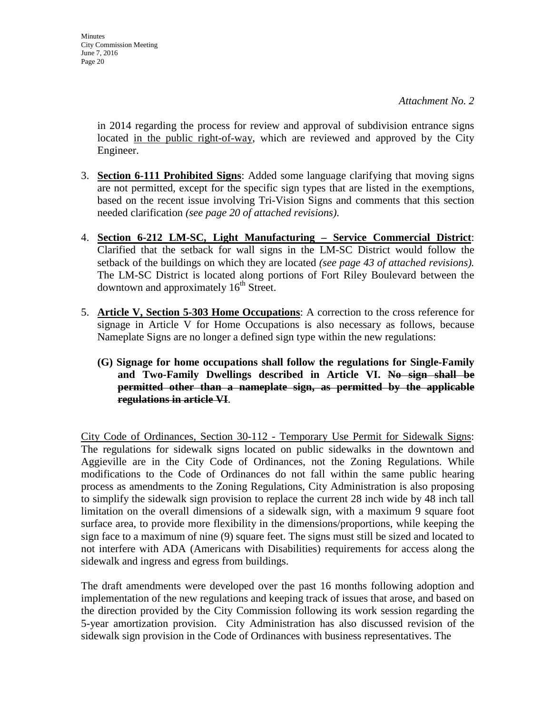in 2014 regarding the process for review and approval of subdivision entrance signs located in the public right-of-way, which are reviewed and approved by the City Engineer.

- 3. **Section 6-111 Prohibited Signs**: Added some language clarifying that moving signs are not permitted, except for the specific sign types that are listed in the exemptions, based on the recent issue involving Tri-Vision Signs and comments that this section needed clarification *(see page 20 of attached revisions)*.
- 4. **Section 6-212 LM-SC, Light Manufacturing Service Commercial District**: Clarified that the setback for wall signs in the LM-SC District would follow the setback of the buildings on which they are located *(see page 43 of attached revisions).*  The LM-SC District is located along portions of Fort Riley Boulevard between the downtown and approximately  $16<sup>th</sup>$  Street.
- 5. **Article V, Section 5-303 Home Occupations**: A correction to the cross reference for signage in Article V for Home Occupations is also necessary as follows, because Nameplate Signs are no longer a defined sign type within the new regulations:
	- **(G) Signage for home occupations shall follow the regulations for Single-Family and Two-Family Dwellings described in Article VI. No sign shall be permitted other than a nameplate sign, as permitted by the applicable regulations in article VI**.

City Code of Ordinances, Section 30-112 - Temporary Use Permit for Sidewalk Signs: The regulations for sidewalk signs located on public sidewalks in the downtown and Aggieville are in the City Code of Ordinances, not the Zoning Regulations. While modifications to the Code of Ordinances do not fall within the same public hearing process as amendments to the Zoning Regulations, City Administration is also proposing to simplify the sidewalk sign provision to replace the current 28 inch wide by 48 inch tall limitation on the overall dimensions of a sidewalk sign, with a maximum 9 square foot surface area, to provide more flexibility in the dimensions/proportions, while keeping the sign face to a maximum of nine (9) square feet. The signs must still be sized and located to not interfere with ADA (Americans with Disabilities) requirements for access along the sidewalk and ingress and egress from buildings.

The draft amendments were developed over the past 16 months following adoption and implementation of the new regulations and keeping track of issues that arose, and based on the direction provided by the City Commission following its work session regarding the 5-year amortization provision. City Administration has also discussed revision of the sidewalk sign provision in the Code of Ordinances with business representatives. The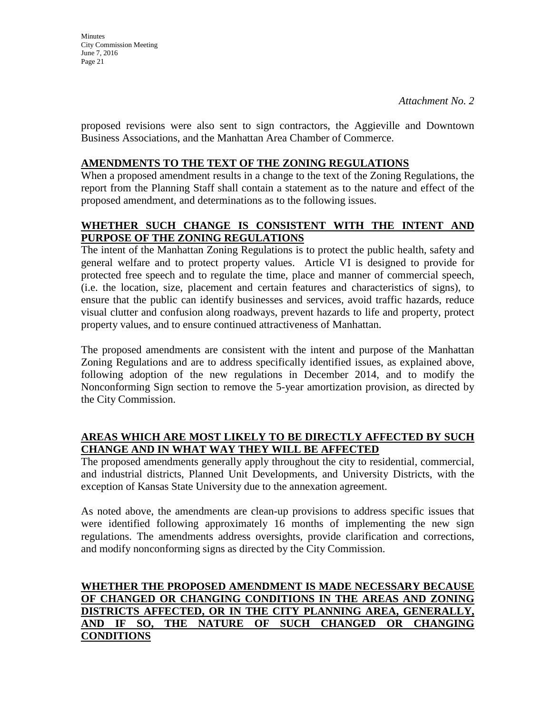proposed revisions were also sent to sign contractors, the Aggieville and Downtown Business Associations, and the Manhattan Area Chamber of Commerce.

# **AMENDMENTS TO THE TEXT OF THE ZONING REGULATIONS**

When a proposed amendment results in a change to the text of the Zoning Regulations, the report from the Planning Staff shall contain a statement as to the nature and effect of the proposed amendment, and determinations as to the following issues.

# **WHETHER SUCH CHANGE IS CONSISTENT WITH THE INTENT AND PURPOSE OF THE ZONING REGULATIONS**

The intent of the Manhattan Zoning Regulations is to protect the public health, safety and general welfare and to protect property values. Article VI is designed to provide for protected free speech and to regulate the time, place and manner of commercial speech, (i.e. the location, size, placement and certain features and characteristics of signs), to ensure that the public can identify businesses and services, avoid traffic hazards, reduce visual clutter and confusion along roadways, prevent hazards to life and property, protect property values, and to ensure continued attractiveness of Manhattan.

The proposed amendments are consistent with the intent and purpose of the Manhattan Zoning Regulations and are to address specifically identified issues, as explained above, following adoption of the new regulations in December 2014, and to modify the Nonconforming Sign section to remove the 5-year amortization provision, as directed by the City Commission.

# **AREAS WHICH ARE MOST LIKELY TO BE DIRECTLY AFFECTED BY SUCH CHANGE AND IN WHAT WAY THEY WILL BE AFFECTED**

The proposed amendments generally apply throughout the city to residential, commercial, and industrial districts, Planned Unit Developments, and University Districts, with the exception of Kansas State University due to the annexation agreement.

As noted above, the amendments are clean-up provisions to address specific issues that were identified following approximately 16 months of implementing the new sign regulations. The amendments address oversights, provide clarification and corrections, and modify nonconforming signs as directed by the City Commission.

# **WHETHER THE PROPOSED AMENDMENT IS MADE NECESSARY BECAUSE OF CHANGED OR CHANGING CONDITIONS IN THE AREAS AND ZONING DISTRICTS AFFECTED, OR IN THE CITY PLANNING AREA, GENERALLY, AND IF SO, THE NATURE OF SUCH CHANGED OR CHANGING CONDITIONS**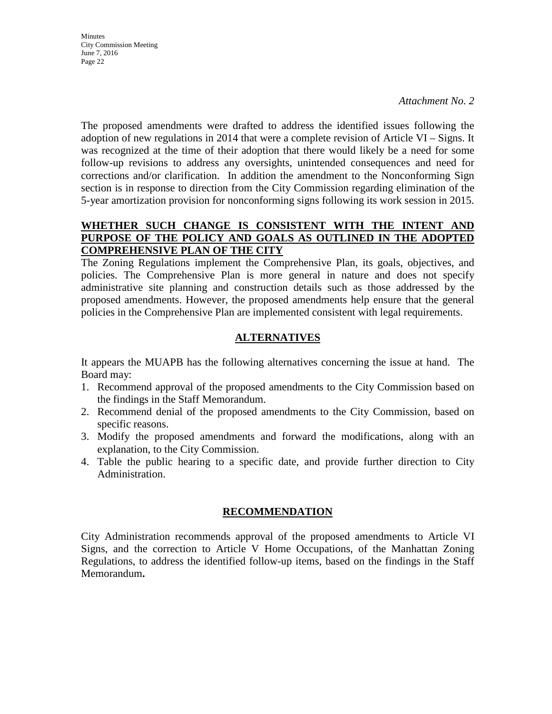**Minutes** City Commission Meeting June 7, 2016 Page 22

*Attachment No. 2* 

The proposed amendments were drafted to address the identified issues following the adoption of new regulations in 2014 that were a complete revision of Article VI – Signs. It was recognized at the time of their adoption that there would likely be a need for some follow-up revisions to address any oversights, unintended consequences and need for corrections and/or clarification. In addition the amendment to the Nonconforming Sign section is in response to direction from the City Commission regarding elimination of the 5-year amortization provision for nonconforming signs following its work session in 2015.

# **WHETHER SUCH CHANGE IS CONSISTENT WITH THE INTENT AND PURPOSE OF THE POLICY AND GOALS AS OUTLINED IN THE ADOPTED COMPREHENSIVE PLAN OF THE CITY**

The Zoning Regulations implement the Comprehensive Plan, its goals, objectives, and policies. The Comprehensive Plan is more general in nature and does not specify administrative site planning and construction details such as those addressed by the proposed amendments. However, the proposed amendments help ensure that the general policies in the Comprehensive Plan are implemented consistent with legal requirements.

# **ALTERNATIVES**

It appears the MUAPB has the following alternatives concerning the issue at hand. The Board may:

- 1. Recommend approval of the proposed amendments to the City Commission based on the findings in the Staff Memorandum.
- 2. Recommend denial of the proposed amendments to the City Commission, based on specific reasons.
- 3. Modify the proposed amendments and forward the modifications, along with an explanation, to the City Commission.
- 4. Table the public hearing to a specific date, and provide further direction to City Administration.

# **RECOMMENDATION**

City Administration recommends approval of the proposed amendments to Article VI Signs, and the correction to Article V Home Occupations, of the Manhattan Zoning Regulations, to address the identified follow-up items, based on the findings in the Staff Memorandum**.**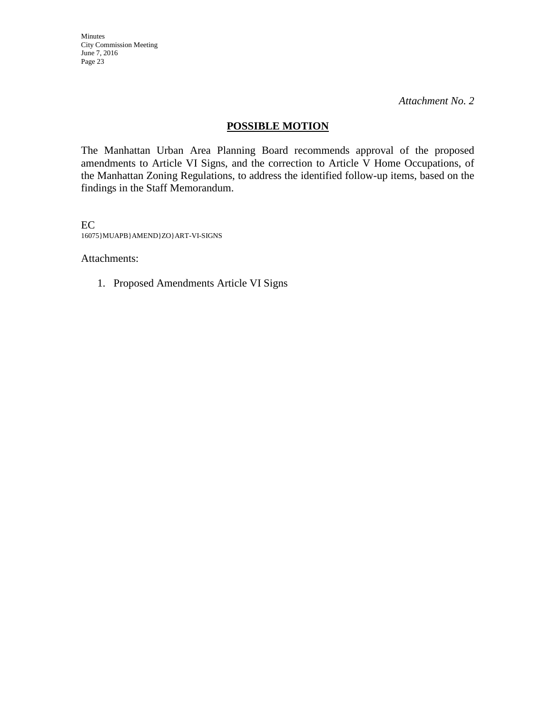Minutes City Commission Meeting June 7, 2016 Page 23

*Attachment No. 2* 

# **POSSIBLE MOTION**

The Manhattan Urban Area Planning Board recommends approval of the proposed amendments to Article VI Signs, and the correction to Article V Home Occupations, of the Manhattan Zoning Regulations, to address the identified follow-up items, based on the findings in the Staff Memorandum.

EC 16075}MUAPB}AMEND}ZO}ART-VI-SIGNS

Attachments:

1. Proposed Amendments Article VI Signs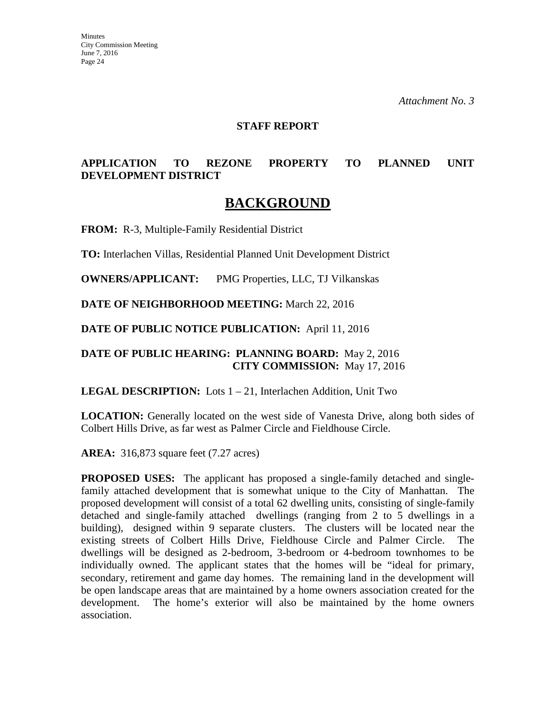#### **STAFF REPORT**

# **APPLICATION TO REZONE PROPERTY TO PLANNED UNIT DEVELOPMENT DISTRICT**

# **BACKGROUND**

**FROM:** R-3, Multiple-Family Residential District

**TO:** Interlachen Villas, Residential Planned Unit Development District

**OWNERS/APPLICANT:** PMG Properties, LLC, TJ Vilkanskas

**DATE OF NEIGHBORHOOD MEETING:** March 22, 2016

**DATE OF PUBLIC NOTICE PUBLICATION:** April 11, 2016

# **DATE OF PUBLIC HEARING: PLANNING BOARD:** May 2, 2016 **CITY COMMISSION:** May 17, 2016

**LEGAL DESCRIPTION:** Lots 1 – 21, Interlachen Addition, Unit Two

**LOCATION:** Generally located on the west side of Vanesta Drive, along both sides of Colbert Hills Drive, as far west as Palmer Circle and Fieldhouse Circle.

**AREA:** 316,873 square feet (7.27 acres)

**PROPOSED USES:** The applicant has proposed a single-family detached and singlefamily attached development that is somewhat unique to the City of Manhattan. The proposed development will consist of a total 62 dwelling units, consisting of single-family detached and single-family attached dwellings (ranging from 2 to 5 dwellings in a building), designed within 9 separate clusters. The clusters will be located near the existing streets of Colbert Hills Drive, Fieldhouse Circle and Palmer Circle. dwellings will be designed as 2-bedroom, 3-bedroom or 4-bedroom townhomes to be individually owned. The applicant states that the homes will be "ideal for primary, secondary, retirement and game day homes. The remaining land in the development will be open landscape areas that are maintained by a home owners association created for the development. The home's exterior will also be maintained by the home owners association.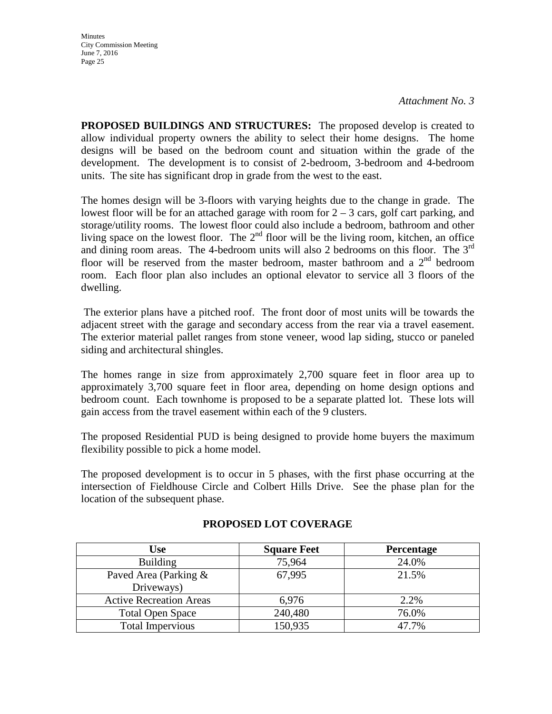**Minutes** City Commission Meeting June 7, 2016 Page 25

**PROPOSED BUILDINGS AND STRUCTURES:** The proposed develop is created to allow individual property owners the ability to select their home designs. The home designs will be based on the bedroom count and situation within the grade of the development. The development is to consist of 2-bedroom, 3-bedroom and 4-bedroom units. The site has significant drop in grade from the west to the east.

The homes design will be 3-floors with varying heights due to the change in grade. The lowest floor will be for an attached garage with room for  $2 - 3$  cars, golf cart parking, and storage/utility rooms. The lowest floor could also include a bedroom, bathroom and other living space on the lowest floor. The  $2<sup>nd</sup>$  floor will be the living room, kitchen, an office and dining room areas. The 4-bedroom units will also 2 bedrooms on this floor. The 3<sup>rd</sup> floor will be reserved from the master bedroom, master bathroom and a  $2<sup>nd</sup>$  bedroom room. Each floor plan also includes an optional elevator to service all 3 floors of the dwelling.

The exterior plans have a pitched roof. The front door of most units will be towards the adjacent street with the garage and secondary access from the rear via a travel easement. The exterior material pallet ranges from stone veneer, wood lap siding, stucco or paneled siding and architectural shingles.

The homes range in size from approximately 2,700 square feet in floor area up to approximately 3,700 square feet in floor area, depending on home design options and bedroom count. Each townhome is proposed to be a separate platted lot. These lots will gain access from the travel easement within each of the 9 clusters.

The proposed Residential PUD is being designed to provide home buyers the maximum flexibility possible to pick a home model.

The proposed development is to occur in 5 phases, with the first phase occurring at the intersection of Fieldhouse Circle and Colbert Hills Drive. See the phase plan for the location of the subsequent phase.

| Use                            | <b>Square Feet</b> | <b>Percentage</b> |
|--------------------------------|--------------------|-------------------|
| <b>Building</b>                | 75,964             | 24.0%             |
| Paved Area (Parking &          | 67,995             | 21.5%             |
| Driveways)                     |                    |                   |
| <b>Active Recreation Areas</b> | 6,976              | 2.2%              |
| <b>Total Open Space</b>        | 240,480            | 76.0%             |
| <b>Total Impervious</b>        | 150,935            | 47.7%             |

#### **PROPOSED LOT COVERAGE**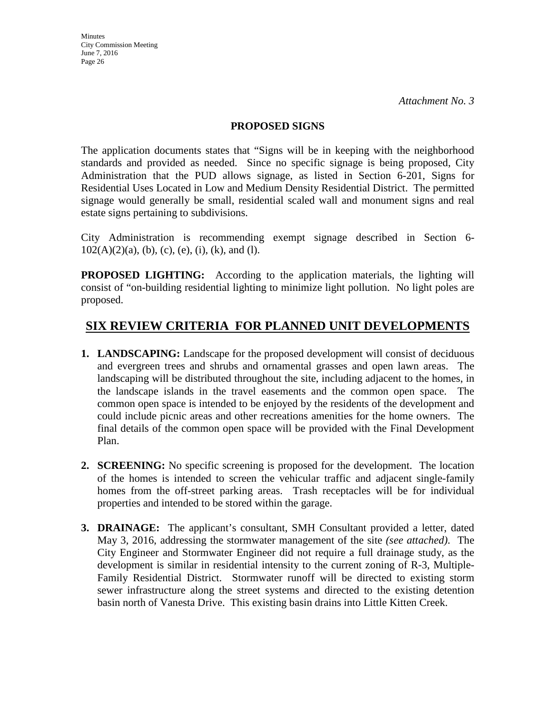#### **PROPOSED SIGNS**

The application documents states that "Signs will be in keeping with the neighborhood standards and provided as needed. Since no specific signage is being proposed, City Administration that the PUD allows signage, as listed in Section 6-201, Signs for Residential Uses Located in Low and Medium Density Residential District. The permitted signage would generally be small, residential scaled wall and monument signs and real estate signs pertaining to subdivisions.

City Administration is recommending exempt signage described in Section 6-  $102(A)(2)(a)$ , (b), (c), (e), (i), (k), and (l).

**PROPOSED LIGHTING:** According to the application materials, the lighting will consist of "on-building residential lighting to minimize light pollution. No light poles are proposed.

# **SIX REVIEW CRITERIA FOR PLANNED UNIT DEVELOPMENTS**

- **1. LANDSCAPING:** Landscape for the proposed development will consist of deciduous and evergreen trees and shrubs and ornamental grasses and open lawn areas. The landscaping will be distributed throughout the site, including adjacent to the homes, in the landscape islands in the travel easements and the common open space. The common open space is intended to be enjoyed by the residents of the development and could include picnic areas and other recreations amenities for the home owners. The final details of the common open space will be provided with the Final Development Plan.
- **2. SCREENING:** No specific screening is proposed for the development. The location of the homes is intended to screen the vehicular traffic and adjacent single-family homes from the off-street parking areas. Trash receptacles will be for individual properties and intended to be stored within the garage.
- **3. DRAINAGE:** The applicant's consultant, SMH Consultant provided a letter, dated May 3, 2016, addressing the stormwater management of the site *(see attached)*. The City Engineer and Stormwater Engineer did not require a full drainage study, as the development is similar in residential intensity to the current zoning of R-3, Multiple-Family Residential District. Stormwater runoff will be directed to existing storm sewer infrastructure along the street systems and directed to the existing detention basin north of Vanesta Drive. This existing basin drains into Little Kitten Creek.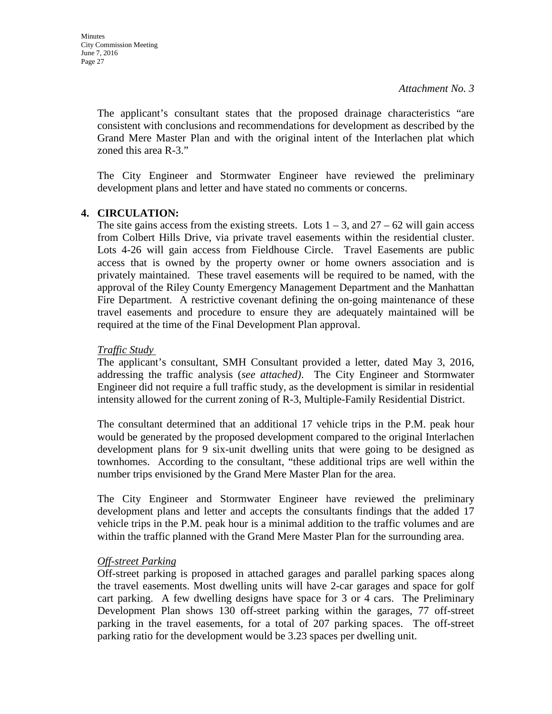The applicant's consultant states that the proposed drainage characteristics "are consistent with conclusions and recommendations for development as described by the Grand Mere Master Plan and with the original intent of the Interlachen plat which zoned this area R-3."

The City Engineer and Stormwater Engineer have reviewed the preliminary development plans and letter and have stated no comments or concerns.

### **4. CIRCULATION:**

The site gains access from the existing streets. Lots  $1 - 3$ , and  $27 - 62$  will gain access from Colbert Hills Drive, via private travel easements within the residential cluster. Lots 4-26 will gain access from Fieldhouse Circle. Travel Easements are public access that is owned by the property owner or home owners association and is privately maintained. These travel easements will be required to be named, with the approval of the Riley County Emergency Management Department and the Manhattan Fire Department. A restrictive covenant defining the on-going maintenance of these travel easements and procedure to ensure they are adequately maintained will be required at the time of the Final Development Plan approval.

#### *Traffic Study*

The applicant's consultant, SMH Consultant provided a letter, dated May 3, 2016, addressing the traffic analysis (*see attached)*. The City Engineer and Stormwater Engineer did not require a full traffic study, as the development is similar in residential intensity allowed for the current zoning of R-3, Multiple-Family Residential District.

The consultant determined that an additional 17 vehicle trips in the P.M. peak hour would be generated by the proposed development compared to the original Interlachen development plans for 9 six-unit dwelling units that were going to be designed as townhomes. According to the consultant, "these additional trips are well within the number trips envisioned by the Grand Mere Master Plan for the area.

The City Engineer and Stormwater Engineer have reviewed the preliminary development plans and letter and accepts the consultants findings that the added 17 vehicle trips in the P.M. peak hour is a minimal addition to the traffic volumes and are within the traffic planned with the Grand Mere Master Plan for the surrounding area.

# *Off-street Parking*

Off-street parking is proposed in attached garages and parallel parking spaces along the travel easements. Most dwelling units will have 2-car garages and space for golf cart parking. A few dwelling designs have space for 3 or 4 cars. The Preliminary Development Plan shows 130 off-street parking within the garages, 77 off-street parking in the travel easements, for a total of 207 parking spaces. The off-street parking ratio for the development would be 3.23 spaces per dwelling unit.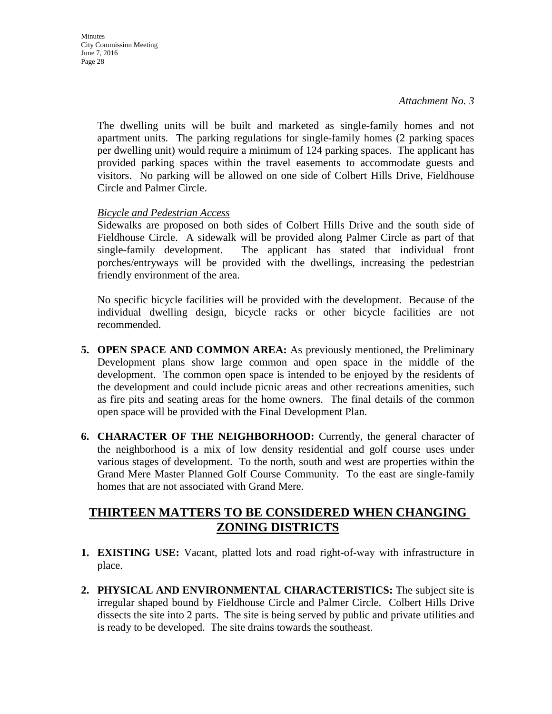The dwelling units will be built and marketed as single-family homes and not apartment units. The parking regulations for single-family homes (2 parking spaces per dwelling unit) would require a minimum of 124 parking spaces. The applicant has provided parking spaces within the travel easements to accommodate guests and visitors. No parking will be allowed on one side of Colbert Hills Drive, Fieldhouse Circle and Palmer Circle.

#### *Bicycle and Pedestrian Access*

Sidewalks are proposed on both sides of Colbert Hills Drive and the south side of Fieldhouse Circle. A sidewalk will be provided along Palmer Circle as part of that single-family development. The applicant has stated that individual front porches/entryways will be provided with the dwellings, increasing the pedestrian friendly environment of the area.

No specific bicycle facilities will be provided with the development. Because of the individual dwelling design, bicycle racks or other bicycle facilities are not recommended.

- **5. OPEN SPACE AND COMMON AREA:** As previously mentioned, the Preliminary Development plans show large common and open space in the middle of the development. The common open space is intended to be enjoyed by the residents of the development and could include picnic areas and other recreations amenities, such as fire pits and seating areas for the home owners. The final details of the common open space will be provided with the Final Development Plan.
- **6. CHARACTER OF THE NEIGHBORHOOD:** Currently, the general character of the neighborhood is a mix of low density residential and golf course uses under various stages of development. To the north, south and west are properties within the Grand Mere Master Planned Golf Course Community. To the east are single-family homes that are not associated with Grand Mere.

# **THIRTEEN MATTERS TO BE CONSIDERED WHEN CHANGING ZONING DISTRICTS**

- **1. EXISTING USE:** Vacant, platted lots and road right-of-way with infrastructure in place.
- **2. PHYSICAL AND ENVIRONMENTAL CHARACTERISTICS:** The subject site is irregular shaped bound by Fieldhouse Circle and Palmer Circle. Colbert Hills Drive dissects the site into 2 parts. The site is being served by public and private utilities and is ready to be developed. The site drains towards the southeast.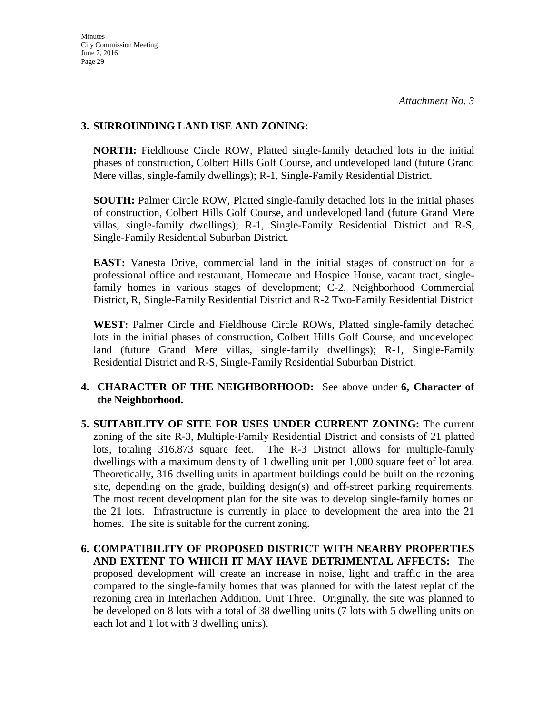## **3. SURROUNDING LAND USE AND ZONING:**

**NORTH:** Fieldhouse Circle ROW, Platted single-family detached lots in the initial phases of construction, Colbert Hills Golf Course, and undeveloped land (future Grand Mere villas, single-family dwellings); R-1, Single-Family Residential District.

**SOUTH:** Palmer Circle ROW, Platted single-family detached lots in the initial phases of construction, Colbert Hills Golf Course, and undeveloped land (future Grand Mere villas, single-family dwellings); R-1, Single-Family Residential District and R-S, Single-Family Residential Suburban District.

**EAST:** Vanesta Drive, commercial land in the initial stages of construction for a professional office and restaurant, Homecare and Hospice House, vacant tract, singlefamily homes in various stages of development; C-2, Neighborhood Commercial District, R, Single-Family Residential District and R-2 Two-Family Residential District

**WEST:** Palmer Circle and Fieldhouse Circle ROWs, Platted single-family detached lots in the initial phases of construction, Colbert Hills Golf Course, and undeveloped land (future Grand Mere villas, single-family dwellings); R-1, Single-Family Residential District and R-S, Single-Family Residential Suburban District.

# **4. CHARACTER OF THE NEIGHBORHOOD:** See above under **6, Character of the Neighborhood.**

- **5. SUITABILITY OF SITE FOR USES UNDER CURRENT ZONING:** The current zoning of the site R-3, Multiple-Family Residential District and consists of 21 platted lots, totaling 316,873 square feet. The R-3 District allows for multiple-family dwellings with a maximum density of 1 dwelling unit per 1,000 square feet of lot area. Theoretically, 316 dwelling units in apartment buildings could be built on the rezoning site, depending on the grade, building design(s) and off-street parking requirements. The most recent development plan for the site was to develop single-family homes on the 21 lots. Infrastructure is currently in place to development the area into the 21 homes. The site is suitable for the current zoning.
- **6. COMPATIBILITY OF PROPOSED DISTRICT WITH NEARBY PROPERTIES AND EXTENT TO WHICH IT MAY HAVE DETRIMENTAL AFFECTS:** The proposed development will create an increase in noise, light and traffic in the area compared to the single-family homes that was planned for with the latest replat of the rezoning area in Interlachen Addition, Unit Three. Originally, the site was planned to be developed on 8 lots with a total of 38 dwelling units (7 lots with 5 dwelling units on each lot and 1 lot with 3 dwelling units).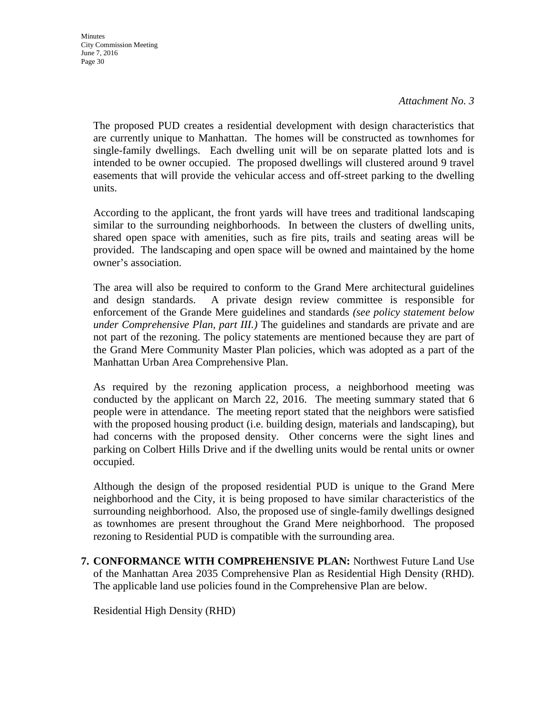**Minutes** City Commission Meeting June 7, 2016 Page 30

*Attachment No. 3* 

The proposed PUD creates a residential development with design characteristics that are currently unique to Manhattan. The homes will be constructed as townhomes for single-family dwellings. Each dwelling unit will be on separate platted lots and is intended to be owner occupied. The proposed dwellings will clustered around 9 travel easements that will provide the vehicular access and off-street parking to the dwelling units.

According to the applicant, the front yards will have trees and traditional landscaping similar to the surrounding neighborhoods. In between the clusters of dwelling units, shared open space with amenities, such as fire pits, trails and seating areas will be provided. The landscaping and open space will be owned and maintained by the home owner's association.

The area will also be required to conform to the Grand Mere architectural guidelines and design standards. A private design review committee is responsible for enforcement of the Grande Mere guidelines and standards *(see policy statement below under Comprehensive Plan, part III.)* The guidelines and standards are private and are not part of the rezoning. The policy statements are mentioned because they are part of the Grand Mere Community Master Plan policies, which was adopted as a part of the Manhattan Urban Area Comprehensive Plan.

As required by the rezoning application process, a neighborhood meeting was conducted by the applicant on March 22, 2016. The meeting summary stated that 6 people were in attendance. The meeting report stated that the neighbors were satisfied with the proposed housing product (i.e. building design, materials and landscaping), but had concerns with the proposed density. Other concerns were the sight lines and parking on Colbert Hills Drive and if the dwelling units would be rental units or owner occupied.

Although the design of the proposed residential PUD is unique to the Grand Mere neighborhood and the City, it is being proposed to have similar characteristics of the surrounding neighborhood. Also, the proposed use of single-family dwellings designed as townhomes are present throughout the Grand Mere neighborhood. The proposed rezoning to Residential PUD is compatible with the surrounding area.

**7. CONFORMANCE WITH COMPREHENSIVE PLAN:** Northwest Future Land Use of the Manhattan Area 2035 Comprehensive Plan as Residential High Density (RHD). The applicable land use policies found in the Comprehensive Plan are below.

Residential High Density (RHD)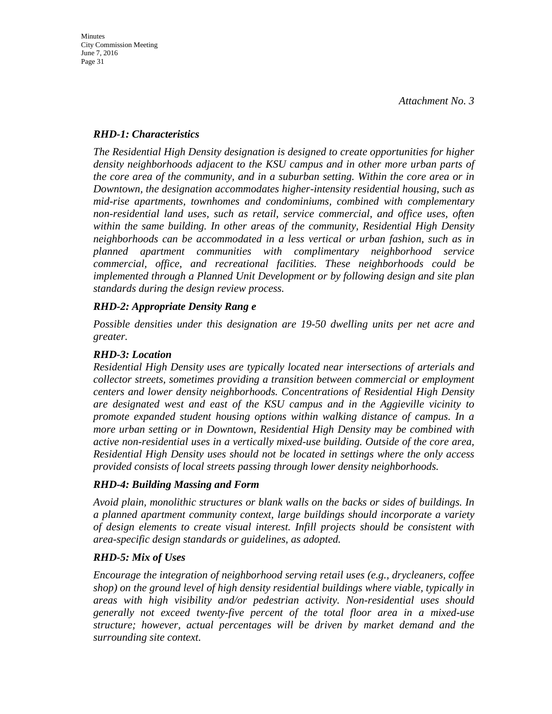## *RHD-1: Characteristics*

*The Residential High Density designation is designed to create opportunities for higher density neighborhoods adjacent to the KSU campus and in other more urban parts of the core area of the community, and in a suburban setting. Within the core area or in Downtown, the designation accommodates higher-intensity residential housing, such as mid-rise apartments, townhomes and condominiums, combined with complementary non-residential land uses, such as retail, service commercial, and office uses, often within the same building. In other areas of the community, Residential High Density neighborhoods can be accommodated in a less vertical or urban fashion, such as in planned apartment communities with complimentary neighborhood service commercial, office, and recreational facilities. These neighborhoods could be implemented through a Planned Unit Development or by following design and site plan standards during the design review process.* 

# *RHD-2: Appropriate Density Rang e*

*Possible densities under this designation are 19-50 dwelling units per net acre and greater.* 

# *RHD-3: Location*

*Residential High Density uses are typically located near intersections of arterials and collector streets, sometimes providing a transition between commercial or employment centers and lower density neighborhoods. Concentrations of Residential High Density are designated west and east of the KSU campus and in the Aggieville vicinity to promote expanded student housing options within walking distance of campus. In a more urban setting or in Downtown, Residential High Density may be combined with active non-residential uses in a vertically mixed-use building. Outside of the core area, Residential High Density uses should not be located in settings where the only access provided consists of local streets passing through lower density neighborhoods.* 

# *RHD-4: Building Massing and Form*

*Avoid plain, monolithic structures or blank walls on the backs or sides of buildings. In a planned apartment community context, large buildings should incorporate a variety of design elements to create visual interest. Infill projects should be consistent with area-specific design standards or guidelines, as adopted.* 

# *RHD-5: Mix of Uses*

*Encourage the integration of neighborhood serving retail uses (e.g., drycleaners, coffee shop) on the ground level of high density residential buildings where viable, typically in areas with high visibility and/or pedestrian activity. Non-residential uses should generally not exceed twenty-five percent of the total floor area in a mixed-use structure; however, actual percentages will be driven by market demand and the surrounding site context.*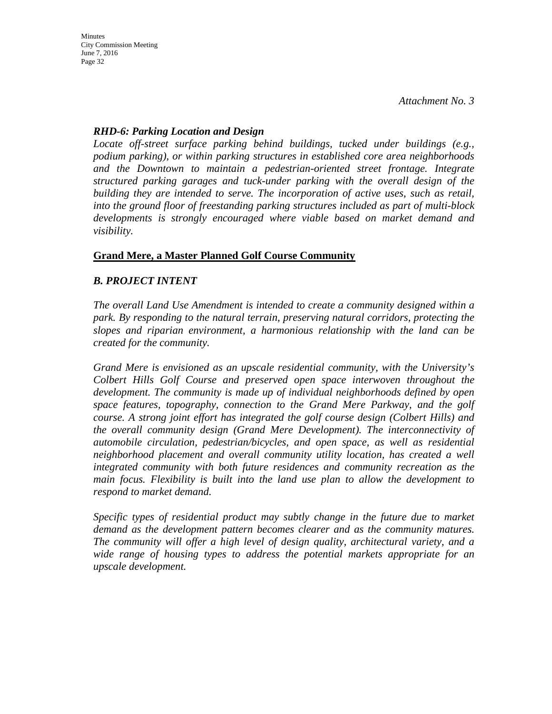### *RHD-6: Parking Location and Design*

*Locate off-street surface parking behind buildings, tucked under buildings (e.g., podium parking), or within parking structures in established core area neighborhoods and the Downtown to maintain a pedestrian-oriented street frontage. Integrate structured parking garages and tuck-under parking with the overall design of the building they are intended to serve. The incorporation of active uses, such as retail, into the ground floor of freestanding parking structures included as part of multi-block developments is strongly encouraged where viable based on market demand and visibility.*

# **Grand Mere, a Master Planned Golf Course Community**

# *B. PROJECT INTENT*

*The overall Land Use Amendment is intended to create a community designed within a park. By responding to the natural terrain, preserving natural corridors, protecting the slopes and riparian environment, a harmonious relationship with the land can be created for the community.* 

*Grand Mere is envisioned as an upscale residential community, with the University's Colbert Hills Golf Course and preserved open space interwoven throughout the development. The community is made up of individual neighborhoods defined by open space features, topography, connection to the Grand Mere Parkway, and the golf course. A strong joint effort has integrated the golf course design (Colbert Hills) and the overall community design (Grand Mere Development). The interconnectivity of automobile circulation, pedestrian/bicycles, and open space, as well as residential neighborhood placement and overall community utility location, has created a well integrated community with both future residences and community recreation as the main focus. Flexibility is built into the land use plan to allow the development to respond to market demand.* 

*Specific types of residential product may subtly change in the future due to market demand as the development pattern becomes clearer and as the community matures. The community will offer a high level of design quality, architectural variety, and a wide range of housing types to address the potential markets appropriate for an upscale development.*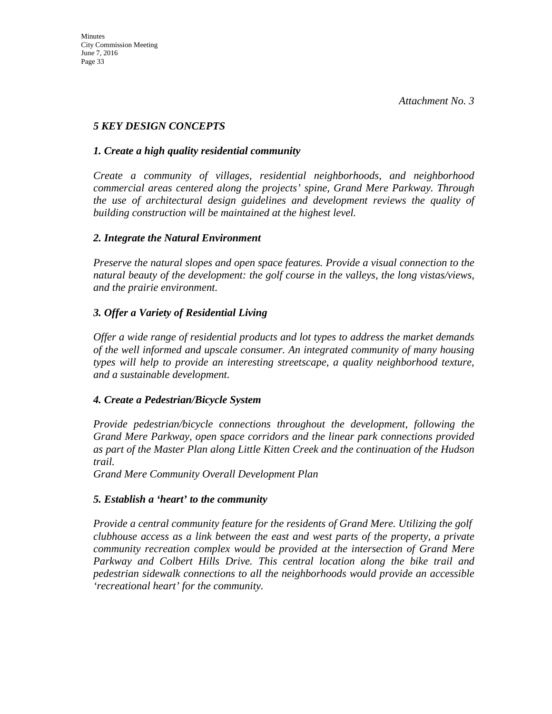# *5 KEY DESIGN CONCEPTS*

## *1. Create a high quality residential community*

*Create a community of villages, residential neighborhoods, and neighborhood commercial areas centered along the projects' spine, Grand Mere Parkway. Through the use of architectural design guidelines and development reviews the quality of building construction will be maintained at the highest level.* 

### *2. Integrate the Natural Environment*

*Preserve the natural slopes and open space features. Provide a visual connection to the natural beauty of the development: the golf course in the valleys, the long vistas/views, and the prairie environment.* 

# *3. Offer a Variety of Residential Living*

*Offer a wide range of residential products and lot types to address the market demands of the well informed and upscale consumer. An integrated community of many housing types will help to provide an interesting streetscape, a quality neighborhood texture, and a sustainable development.* 

# *4. Create a Pedestrian/Bicycle System*

*Provide pedestrian/bicycle connections throughout the development, following the Grand Mere Parkway, open space corridors and the linear park connections provided as part of the Master Plan along Little Kitten Creek and the continuation of the Hudson trail.*

*Grand Mere Community Overall Development Plan* 

#### *5. Establish a 'heart' to the community*

*Provide a central community feature for the residents of Grand Mere. Utilizing the golf clubhouse access as a link between the east and west parts of the property, a private community recreation complex would be provided at the intersection of Grand Mere Parkway and Colbert Hills Drive. This central location along the bike trail and pedestrian sidewalk connections to all the neighborhoods would provide an accessible 'recreational heart' for the community.*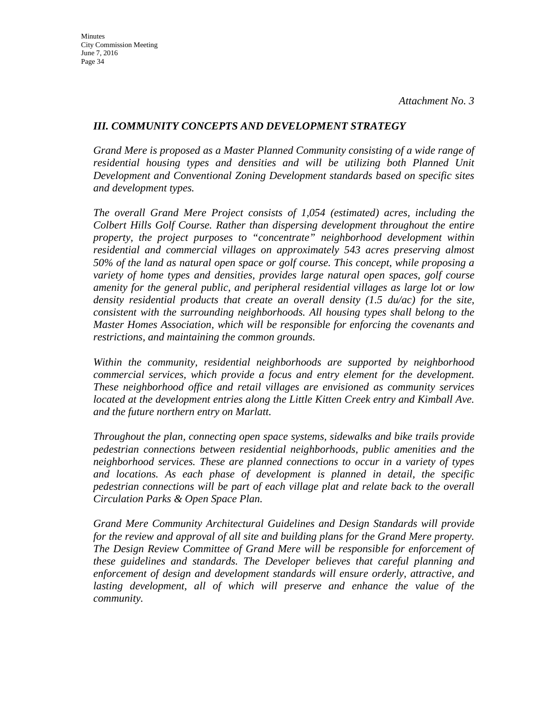## *III. COMMUNITY CONCEPTS AND DEVELOPMENT STRATEGY*

*Grand Mere is proposed as a Master Planned Community consisting of a wide range of*  residential housing types and densities and will be utilizing both Planned Unit *Development and Conventional Zoning Development standards based on specific sites and development types.* 

*The overall Grand Mere Project consists of 1,054 (estimated) acres, including the Colbert Hills Golf Course. Rather than dispersing development throughout the entire property, the project purposes to "concentrate" neighborhood development within residential and commercial villages on approximately 543 acres preserving almost 50% of the land as natural open space or golf course. This concept, while proposing a variety of home types and densities, provides large natural open spaces, golf course amenity for the general public, and peripheral residential villages as large lot or low density residential products that create an overall density (1.5 du/ac) for the site, consistent with the surrounding neighborhoods. All housing types shall belong to the Master Homes Association, which will be responsible for enforcing the covenants and restrictions, and maintaining the common grounds.* 

*Within the community, residential neighborhoods are supported by neighborhood commercial services, which provide a focus and entry element for the development. These neighborhood office and retail villages are envisioned as community services located at the development entries along the Little Kitten Creek entry and Kimball Ave. and the future northern entry on Marlatt.* 

*Throughout the plan, connecting open space systems, sidewalks and bike trails provide pedestrian connections between residential neighborhoods, public amenities and the neighborhood services. These are planned connections to occur in a variety of types and locations. As each phase of development is planned in detail, the specific pedestrian connections will be part of each village plat and relate back to the overall Circulation Parks & Open Space Plan.* 

*Grand Mere Community Architectural Guidelines and Design Standards will provide for the review and approval of all site and building plans for the Grand Mere property. The Design Review Committee of Grand Mere will be responsible for enforcement of these guidelines and standards. The Developer believes that careful planning and enforcement of design and development standards will ensure orderly, attractive, and*  lasting development, all of which will preserve and enhance the value of the *community.*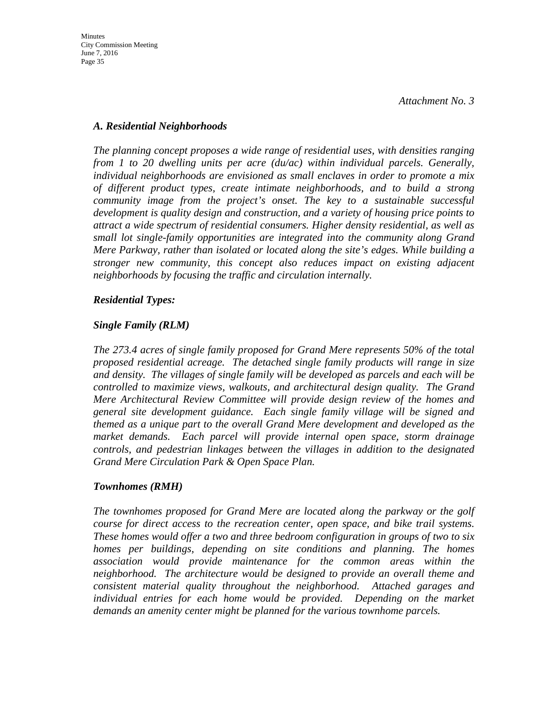### *A. Residential Neighborhoods*

*The planning concept proposes a wide range of residential uses, with densities ranging from 1 to 20 dwelling units per acre (du/ac) within individual parcels. Generally, individual neighborhoods are envisioned as small enclaves in order to promote a mix of different product types, create intimate neighborhoods, and to build a strong community image from the project's onset. The key to a sustainable successful development is quality design and construction, and a variety of housing price points to attract a wide spectrum of residential consumers. Higher density residential, as well as small lot single-family opportunities are integrated into the community along Grand Mere Parkway, rather than isolated or located along the site's edges. While building a stronger new community, this concept also reduces impact on existing adjacent neighborhoods by focusing the traffic and circulation internally.* 

# *Residential Types:*

### *Single Family (RLM)*

*The 273.4 acres of single family proposed for Grand Mere represents 50% of the total proposed residential acreage. The detached single family products will range in size and density. The villages of single family will be developed as parcels and each will be controlled to maximize views, walkouts, and architectural design quality. The Grand Mere Architectural Review Committee will provide design review of the homes and general site development guidance. Each single family village will be signed and themed as a unique part to the overall Grand Mere development and developed as the market demands. Each parcel will provide internal open space, storm drainage controls, and pedestrian linkages between the villages in addition to the designated Grand Mere Circulation Park & Open Space Plan.* 

# *Townhomes (RMH)*

*The townhomes proposed for Grand Mere are located along the parkway or the golf course for direct access to the recreation center, open space, and bike trail systems. These homes would offer a two and three bedroom configuration in groups of two to six homes per buildings, depending on site conditions and planning. The homes association would provide maintenance for the common areas within the neighborhood. The architecture would be designed to provide an overall theme and consistent material quality throughout the neighborhood. Attached garages and individual entries for each home would be provided. Depending on the market demands an amenity center might be planned for the various townhome parcels.*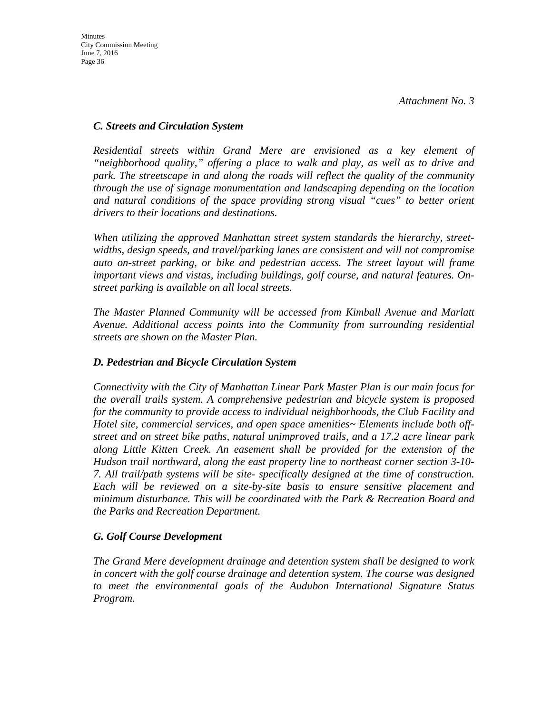## *C. Streets and Circulation System*

*Residential streets within Grand Mere are envisioned as a key element of "neighborhood quality," offering a place to walk and play, as well as to drive and park. The streetscape in and along the roads will reflect the quality of the community through the use of signage monumentation and landscaping depending on the location and natural conditions of the space providing strong visual "cues" to better orient drivers to their locations and destinations.* 

*When utilizing the approved Manhattan street system standards the hierarchy, streetwidths, design speeds, and travel/parking lanes are consistent and will not compromise auto on-street parking, or bike and pedestrian access. The street layout will frame important views and vistas, including buildings, golf course, and natural features. Onstreet parking is available on all local streets.*

*The Master Planned Community will be accessed from Kimball Avenue and Marlatt Avenue. Additional access points into the Community from surrounding residential streets are shown on the Master Plan.* 

# *D. Pedestrian and Bicycle Circulation System*

*Connectivity with the City of Manhattan Linear Park Master Plan is our main focus for the overall trails system. A comprehensive pedestrian and bicycle system is proposed for the community to provide access to individual neighborhoods, the Club Facility and Hotel site, commercial services, and open space amenities~ Elements include both offstreet and on street bike paths, natural unimproved trails, and a 17.2 acre linear park along Little Kitten Creek. An easement shall be provided for the extension of the Hudson trail northward, along the east property line to northeast corner section 3-10- 7. All trail/path systems will be site- specifically designed at the time of construction. Each will be reviewed on a site-by-site basis to ensure sensitive placement and minimum disturbance. This will be coordinated with the Park & Recreation Board and the Parks and Recreation Department.* 

# *G. Golf Course Development*

*The Grand Mere development drainage and detention system shall be designed to work in concert with the golf course drainage and detention system. The course was designed to meet the environmental goals of the Audubon International Signature Status Program.*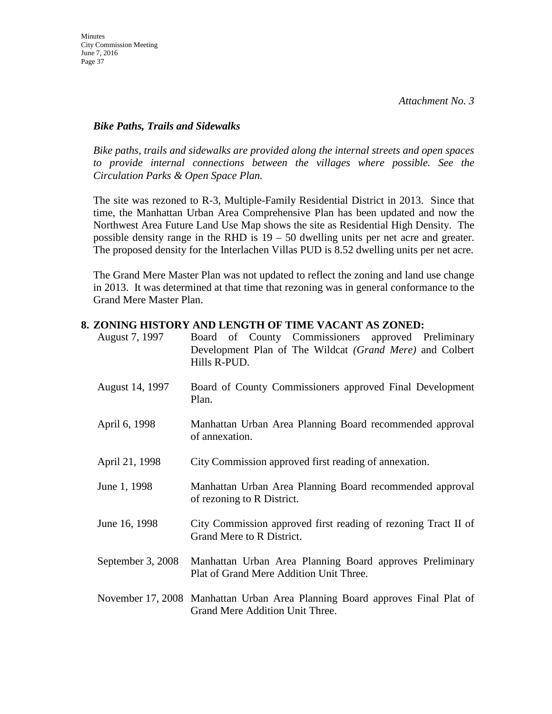### *Bike Paths, Trails and Sidewalks*

*Bike paths, trails and sidewalks are provided along the internal streets and open spaces*  to provide internal connections between the villages where possible. See the *Circulation Parks & Open Space Plan.* 

The site was rezoned to R-3, Multiple-Family Residential District in 2013. Since that time, the Manhattan Urban Area Comprehensive Plan has been updated and now the Northwest Area Future Land Use Map shows the site as Residential High Density. The possible density range in the RHD is 19 – 50 dwelling units per net acre and greater. The proposed density for the Interlachen Villas PUD is 8.52 dwelling units per net acre.

The Grand Mere Master Plan was not updated to reflect the zoning and land use change in 2013. It was determined at that time that rezoning was in general conformance to the Grand Mere Master Plan.

### **8. ZONING HISTORY AND LENGTH OF TIME VACANT AS ZONED:**

| August 7, 1997    | Board of County Commissioners approved Preliminary<br>Development Plan of The Wildcat (Grand Mere) and Colbert<br>Hills R-PUD. |
|-------------------|--------------------------------------------------------------------------------------------------------------------------------|
| August 14, 1997   | Board of County Commissioners approved Final Development<br>Plan.                                                              |
| April 6, 1998     | Manhattan Urban Area Planning Board recommended approval<br>of annexation.                                                     |
| April 21, 1998    | City Commission approved first reading of annexation.                                                                          |
| June 1, 1998      | Manhattan Urban Area Planning Board recommended approval<br>of rezoning to R District.                                         |
| June 16, 1998     | City Commission approved first reading of rezoning Tract II of<br>Grand Mere to R District.                                    |
| September 3, 2008 | Manhattan Urban Area Planning Board approves Preliminary<br>Plat of Grand Mere Addition Unit Three.                            |
|                   | November 17, 2008 Manhattan Urban Area Planning Board approves Final Plat of<br>Grand Mere Addition Unit Three.                |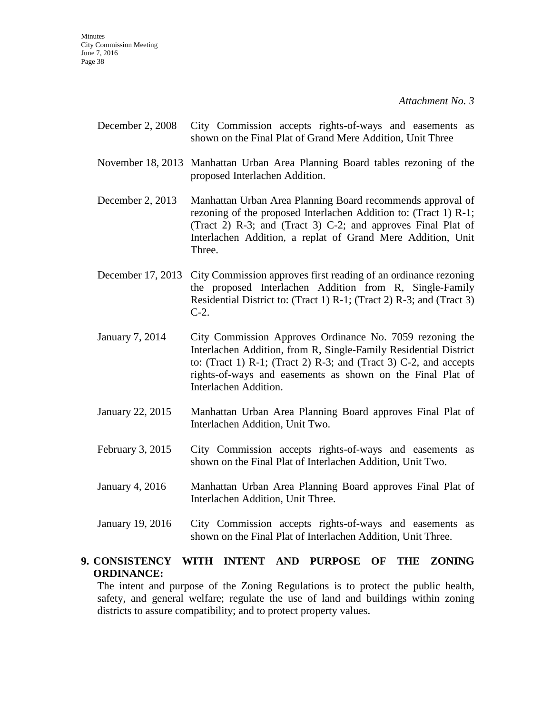- December 2, 2008 City Commission accepts rights-of-ways and easements as shown on the Final Plat of Grand Mere Addition, Unit Three
- November 18, 2013 Manhattan Urban Area Planning Board tables rezoning of the proposed Interlachen Addition.
- December 2, 2013 Manhattan Urban Area Planning Board recommends approval of rezoning of the proposed Interlachen Addition to: (Tract 1) R-1; (Tract 2) R-3; and (Tract 3) C-2; and approves Final Plat of Interlachen Addition, a replat of Grand Mere Addition, Unit Three.
- December 17, 2013 City Commission approves first reading of an ordinance rezoning the proposed Interlachen Addition from R, Single-Family Residential District to: (Tract 1) R-1; (Tract 2) R-3; and (Tract 3) C-2.
- January 7, 2014 City Commission Approves Ordinance No. 7059 rezoning the Interlachen Addition, from R, Single-Family Residential District to: (Tract 1)  $R-1$ ; (Tract 2)  $R-3$ ; and (Tract 3)  $C-2$ , and accepts rights-of-ways and easements as shown on the Final Plat of Interlachen Addition.
- January 22, 2015 Manhattan Urban Area Planning Board approves Final Plat of Interlachen Addition, Unit Two.
- February 3, 2015 City Commission accepts rights-of-ways and easements as shown on the Final Plat of Interlachen Addition, Unit Two.
- January 4, 2016 Manhattan Urban Area Planning Board approves Final Plat of Interlachen Addition, Unit Three.
- January 19, 2016 City Commission accepts rights-of-ways and easements as shown on the Final Plat of Interlachen Addition, Unit Three.

# **9. CONSISTENCY WITH INTENT AND PURPOSE OF THE ZONING ORDINANCE:**

The intent and purpose of the Zoning Regulations is to protect the public health, safety, and general welfare; regulate the use of land and buildings within zoning districts to assure compatibility; and to protect property values.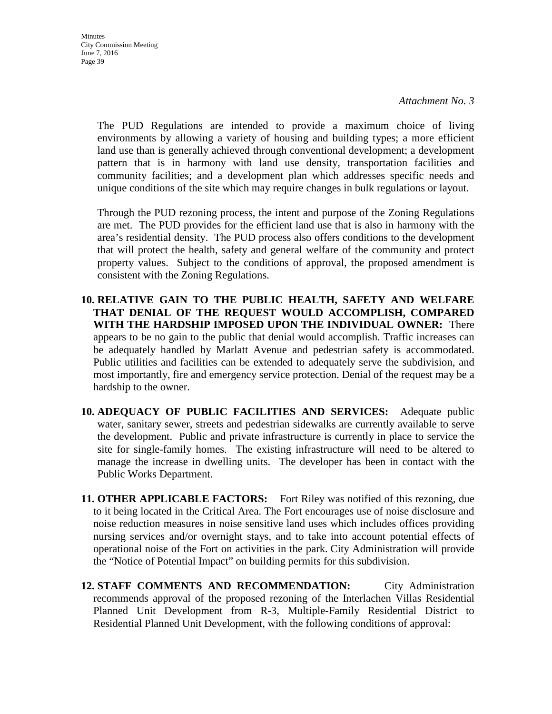**Minutes** City Commission Meeting June 7, 2016 Page 39

> The PUD Regulations are intended to provide a maximum choice of living environments by allowing a variety of housing and building types; a more efficient land use than is generally achieved through conventional development; a development pattern that is in harmony with land use density, transportation facilities and community facilities; and a development plan which addresses specific needs and unique conditions of the site which may require changes in bulk regulations or layout.

> Through the PUD rezoning process, the intent and purpose of the Zoning Regulations are met. The PUD provides for the efficient land use that is also in harmony with the area's residential density. The PUD process also offers conditions to the development that will protect the health, safety and general welfare of the community and protect property values. Subject to the conditions of approval, the proposed amendment is consistent with the Zoning Regulations.

**10. RELATIVE GAIN TO THE PUBLIC HEALTH, SAFETY AND WELFARE THAT DENIAL OF THE REQUEST WOULD ACCOMPLISH, COMPARED WITH THE HARDSHIP IMPOSED UPON THE INDIVIDUAL OWNER:** There appears to be no gain to the public that denial would accomplish. Traffic increases can be adequately handled by Marlatt Avenue and pedestrian safety is accommodated. Public utilities and facilities can be extended to adequately serve the subdivision, and most importantly, fire and emergency service protection. Denial of the request may be a hardship to the owner.

- **10. ADEQUACY OF PUBLIC FACILITIES AND SERVICES:** Adequate public water, sanitary sewer, streets and pedestrian sidewalks are currently available to serve the development. Public and private infrastructure is currently in place to service the site for single-family homes. The existing infrastructure will need to be altered to manage the increase in dwelling units. The developer has been in contact with the Public Works Department.
- **11. OTHER APPLICABLE FACTORS:** Fort Riley was notified of this rezoning, due to it being located in the Critical Area. The Fort encourages use of noise disclosure and noise reduction measures in noise sensitive land uses which includes offices providing nursing services and/or overnight stays, and to take into account potential effects of operational noise of the Fort on activities in the park. City Administration will provide the "Notice of Potential Impact" on building permits for this subdivision.
- **12. STAFF COMMENTS AND RECOMMENDATION:** City Administration recommends approval of the proposed rezoning of the Interlachen Villas Residential Planned Unit Development from R-3, Multiple-Family Residential District to Residential Planned Unit Development, with the following conditions of approval: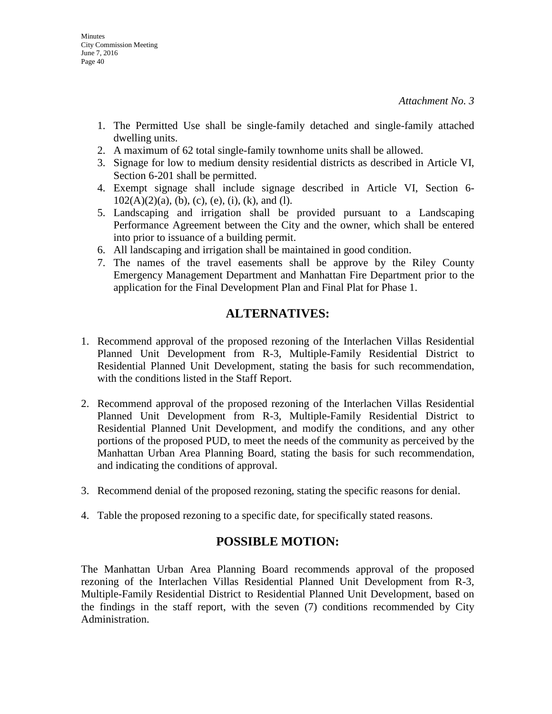- 1. The Permitted Use shall be single-family detached and single-family attached dwelling units.
- 2. A maximum of 62 total single-family townhome units shall be allowed.
- 3. Signage for low to medium density residential districts as described in Article VI, Section 6-201 shall be permitted.
- 4. Exempt signage shall include signage described in Article VI, Section 6-  $102(A)(2)(a)$ , (b), (c), (e), (i), (k), and (1).
- 5. Landscaping and irrigation shall be provided pursuant to a Landscaping Performance Agreement between the City and the owner, which shall be entered into prior to issuance of a building permit.
- 6. All landscaping and irrigation shall be maintained in good condition.
- 7. The names of the travel easements shall be approve by the Riley County Emergency Management Department and Manhattan Fire Department prior to the application for the Final Development Plan and Final Plat for Phase 1.

# **ALTERNATIVES:**

- 1. Recommend approval of the proposed rezoning of the Interlachen Villas Residential Planned Unit Development from R-3, Multiple-Family Residential District to Residential Planned Unit Development, stating the basis for such recommendation, with the conditions listed in the Staff Report.
- 2. Recommend approval of the proposed rezoning of the Interlachen Villas Residential Planned Unit Development from R-3, Multiple-Family Residential District to Residential Planned Unit Development, and modify the conditions, and any other portions of the proposed PUD, to meet the needs of the community as perceived by the Manhattan Urban Area Planning Board, stating the basis for such recommendation, and indicating the conditions of approval.
- 3. Recommend denial of the proposed rezoning, stating the specific reasons for denial.
- 4. Table the proposed rezoning to a specific date, for specifically stated reasons.

# **POSSIBLE MOTION:**

The Manhattan Urban Area Planning Board recommends approval of the proposed rezoning of the Interlachen Villas Residential Planned Unit Development from R-3, Multiple-Family Residential District to Residential Planned Unit Development, based on the findings in the staff report, with the seven (7) conditions recommended by City Administration.